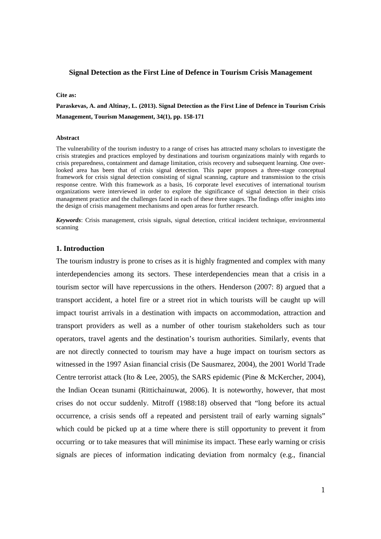## **Signal Detection as the First Line of Defence in Tourism Crisis Management**

#### **Cite as:**

**Paraskevas, A. and Altinay, L. (2013). Signal Detection as the First Line of Defence in Tourism Crisis Management, Tourism Management, 34(1), pp. 158-171** 

#### **Abstract**

The vulnerability of the tourism industry to a range of crises has attracted many scholars to investigate the crisis strategies and practices employed by destinations and tourism organizations mainly with regards to crisis preparedness, containment and damage limitation, crisis recovery and subsequent learning. One overlooked area has been that of crisis signal detection. This paper proposes a three-stage conceptual framework for crisis signal detection consisting of signal scanning, capture and transmission to the crisis response centre. With this framework as a basis, 16 corporate level executives of international tourism organizations were interviewed in order to explore the significance of signal detection in their crisis management practice and the challenges faced in each of these three stages. The findings offer insights into the design of crisis management mechanisms and open areas for further research.

*Keywords*: Crisis management, crisis signals, signal detection, critical incident technique, environmental scanning

## **1. Introduction**

The tourism industry is prone to crises as it is highly fragmented and complex with many interdependencies among its sectors. These interdependencies mean that a crisis in a tourism sector will have repercussions in the others. Henderson (2007: 8) argued that a transport accident, a hotel fire or a street riot in which tourists will be caught up will impact tourist arrivals in a destination with impacts on accommodation, attraction and transport providers as well as a number of other tourism stakeholders such as tour operators, travel agents and the destination's tourism authorities. Similarly, events that are not directly connected to tourism may have a huge impact on tourism sectors as witnessed in the 1997 Asian financial crisis (De Sausmarez, 2004), the 2001 World Trade Centre terrorist attack (Ito & Lee, 2005), the SARS epidemic (Pine & McKercher, 2004), the Indian Ocean tsunami (Rittichainuwat, 2006). It is noteworthy, however, that most crises do not occur suddenly. Mitroff (1988:18) observed that "long before its actual occurrence, a crisis sends off a repeated and persistent trail of early warning signals" which could be picked up at a time where there is still opportunity to prevent it from occurring or to take measures that will minimise its impact. These early warning or crisis signals are pieces of information indicating deviation from normalcy (e.g., financial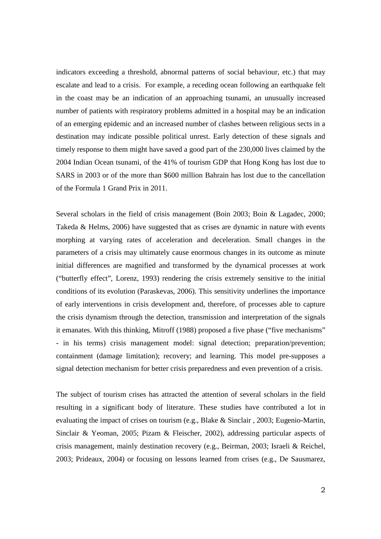indicators exceeding a threshold, abnormal patterns of social behaviour, etc.) that may escalate and lead to a crisis. For example, a receding ocean following an earthquake felt in the coast may be an indication of an approaching tsunami, an unusually increased number of patients with respiratory problems admitted in a hospital may be an indication of an emerging epidemic and an increased number of clashes between religious sects in a destination may indicate possible political unrest. Early detection of these signals and timely response to them might have saved a good part of the 230,000 lives claimed by the 2004 Indian Ocean tsunami, of the 41% of tourism GDP that Hong Kong has lost due to SARS in 2003 or of the more than \$600 million Bahrain has lost due to the cancellation of the Formula 1 Grand Prix in 2011.

Several scholars in the field of crisis management (Boin 2003; Boin & Lagadec, 2000; Takeda & Helms, 2006) have suggested that as crises are dynamic in nature with events morphing at varying rates of acceleration and deceleration. Small changes in the parameters of a crisis may ultimately cause enormous changes in its outcome as minute initial differences are magnified and transformed by the dynamical processes at work ("butterfly effect", Lorenz, 1993) rendering the crisis extremely sensitive to the initial conditions of its evolution (Paraskevas, 2006). This sensitivity underlines the importance of early interventions in crisis development and, therefore, of processes able to capture the crisis dynamism through the detection, transmission and interpretation of the signals it emanates. With this thinking, Mitroff (1988) proposed a five phase ("five mechanisms" - in his terms) crisis management model: signal detection; preparation/prevention; containment (damage limitation); recovery; and learning. This model pre-supposes a signal detection mechanism for better crisis preparedness and even prevention of a crisis.

The subject of tourism crises has attracted the attention of several scholars in the field resulting in a significant body of literature. These studies have contributed a lot in evaluating the impact of crises on tourism (e.g., Blake & Sinclair , 2003; Eugenio-Martin, Sinclair & Yeoman, 2005; Pizam & Fleischer, 2002), addressing particular aspects of crisis management, mainly destination recovery (e.g., Beirman, 2003; Israeli & Reichel, 2003; Prideaux, 2004) or focusing on lessons learned from crises (e.g., De Sausmarez,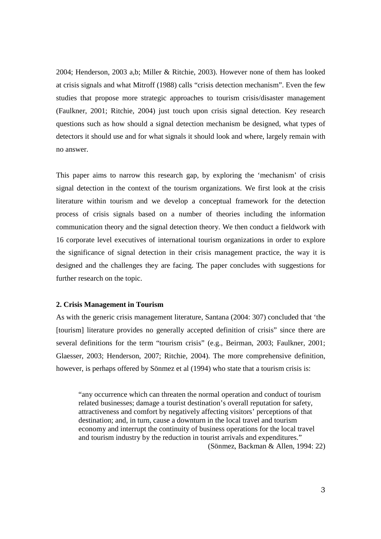2004; Henderson, 2003 a,b; Miller & Ritchie, 2003). However none of them has looked at crisis signals and what Mitroff (1988) calls "crisis detection mechanism". Even the few studies that propose more strategic approaches to tourism crisis/disaster management (Faulkner, 2001; Ritchie, 2004) just touch upon crisis signal detection. Key research questions such as how should a signal detection mechanism be designed, what types of detectors it should use and for what signals it should look and where, largely remain with no answer.

This paper aims to narrow this research gap, by exploring the 'mechanism' of crisis signal detection in the context of the tourism organizations. We first look at the crisis literature within tourism and we develop a conceptual framework for the detection process of crisis signals based on a number of theories including the information communication theory and the signal detection theory. We then conduct a fieldwork with 16 corporate level executives of international tourism organizations in order to explore the significance of signal detection in their crisis management practice, the way it is designed and the challenges they are facing. The paper concludes with suggestions for further research on the topic.

## **2. Crisis Management in Tourism**

As with the generic crisis management literature, Santana (2004: 307) concluded that 'the [tourism] literature provides no generally accepted definition of crisis" since there are several definitions for the term "tourism crisis" (e.g., Beirman, 2003; Faulkner, 2001; Glaesser, 2003; Henderson, 2007; Ritchie, 2004). The more comprehensive definition, however, is perhaps offered by Sönmez et al (1994) who state that a tourism crisis is:

"any occurrence which can threaten the normal operation and conduct of tourism related businesses; damage a tourist destination's overall reputation for safety, attractiveness and comfort by negatively affecting visitors' perceptions of that destination; and, in turn, cause a downturn in the local travel and tourism economy and interrupt the continuity of business operations for the local travel and tourism industry by the reduction in tourist arrivals and expenditures." (Sönmez, Backman & Allen, 1994: 22)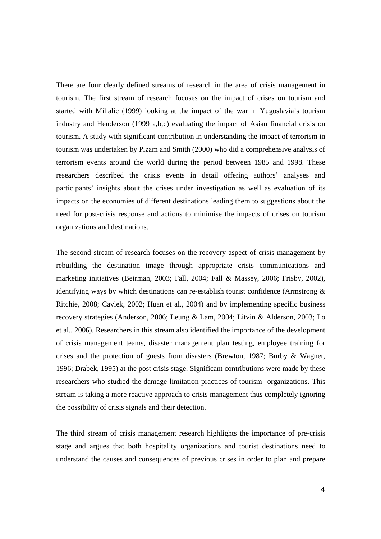There are four clearly defined streams of research in the area of crisis management in tourism. The first stream of research focuses on the impact of crises on tourism and started with Mihalic (1999) looking at the impact of the war in Yugoslavia's tourism industry and Henderson (1999 a,b,c) evaluating the impact of Asian financial crisis on tourism. A study with significant contribution in understanding the impact of terrorism in tourism was undertaken by Pizam and Smith (2000) who did a comprehensive analysis of terrorism events around the world during the period between 1985 and 1998. These researchers described the crisis events in detail offering authors' analyses and participants' insights about the crises under investigation as well as evaluation of its impacts on the economies of different destinations leading them to suggestions about the need for post-crisis response and actions to minimise the impacts of crises on tourism organizations and destinations.

The second stream of research focuses on the recovery aspect of crisis management by rebuilding the destination image through appropriate crisis communications and marketing initiatives (Beirman, 2003; Fall, 2004; Fall & Massey, 2006; Frisby, 2002), identifying ways by which destinations can re-establish tourist confidence (Armstrong & Ritchie, 2008; Cavlek, 2002; Huan et al., 2004) and by implementing specific business recovery strategies (Anderson, 2006; Leung & Lam, 2004; Litvin & Alderson, 2003; Lo et al., 2006). Researchers in this stream also identified the importance of the development of crisis management teams, disaster management plan testing, employee training for crises and the protection of guests from disasters (Brewton, 1987; Burby & Wagner, 1996; Drabek, 1995) at the post crisis stage. Significant contributions were made by these researchers who studied the damage limitation practices of tourism organizations. This stream is taking a more reactive approach to crisis management thus completely ignoring the possibility of crisis signals and their detection.

The third stream of crisis management research highlights the importance of pre-crisis stage and argues that both hospitality organizations and tourist destinations need to understand the causes and consequences of previous crises in order to plan and prepare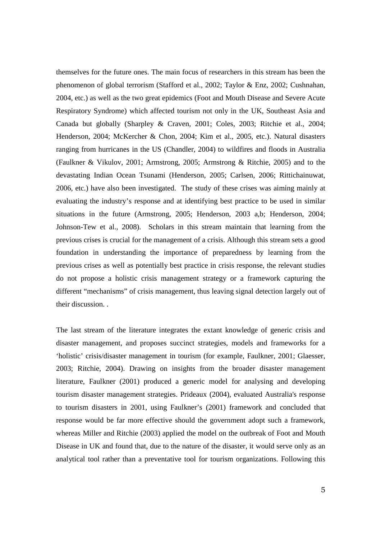themselves for the future ones. The main focus of researchers in this stream has been the phenomenon of global terrorism (Stafford et al., 2002; Taylor & Enz, 2002; Cushnahan, 2004, etc.) as well as the two great epidemics (Foot and Mouth Disease and Severe Acute Respiratory Syndrome) which affected tourism not only in the UK, Southeast Asia and Canada but globally (Sharpley & Craven, 2001; Coles, 2003; Ritchie et al., 2004; Henderson, 2004; McKercher & Chon, 2004; Kim et al., 2005, etc.). Natural disasters ranging from hurricanes in the US (Chandler, 2004) to wildfires and floods in Australia (Faulkner & Vikulov, 2001; Armstrong, 2005; Armstrong & Ritchie, 2005) and to the devastating Indian Ocean Tsunami (Henderson, 2005; Carlsen, 2006; Rittichainuwat, 2006, etc.) have also been investigated. The study of these crises was aiming mainly at evaluating the industry's response and at identifying best practice to be used in similar situations in the future (Armstrong, 2005; Henderson, 2003 a,b; Henderson, 2004; Johnson-Tew et al., 2008). Scholars in this stream maintain that learning from the previous crises is crucial for the management of a crisis. Although this stream sets a good foundation in understanding the importance of preparedness by learning from the previous crises as well as potentially best practice in crisis response, the relevant studies do not propose a holistic crisis management strategy or a framework capturing the different "mechanisms" of crisis management, thus leaving signal detection largely out of their discussion. .

The last stream of the literature integrates the extant knowledge of generic crisis and disaster management, and proposes succinct strategies, models and frameworks for a 'holistic' crisis/disaster management in tourism (for example, Faulkner, 2001; Glaesser, 2003; Ritchie, 2004). Drawing on insights from the broader disaster management literature, Faulkner (2001) produced a generic model for analysing and developing tourism disaster management strategies. Prideaux (2004), evaluated Australia's response to tourism disasters in 2001, using Faulkner's (2001) framework and concluded that response would be far more effective should the government adopt such a framework, whereas Miller and Ritchie (2003) applied the model on the outbreak of Foot and Mouth Disease in UK and found that, due to the nature of the disaster, it would serve only as an analytical tool rather than a preventative tool for tourism organizations. Following this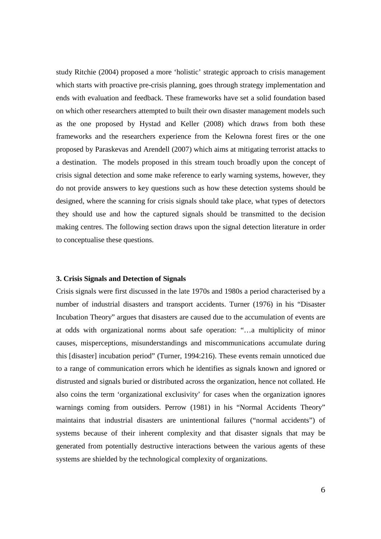study Ritchie (2004) proposed a more 'holistic' strategic approach to crisis management which starts with proactive pre-crisis planning, goes through strategy implementation and ends with evaluation and feedback. These frameworks have set a solid foundation based on which other researchers attempted to built their own disaster management models such as the one proposed by Hystad and Keller (2008) which draws from both these frameworks and the researchers experience from the Kelowna forest fires or the one proposed by Paraskevas and Arendell (2007) which aims at mitigating terrorist attacks to a destination. The models proposed in this stream touch broadly upon the concept of crisis signal detection and some make reference to early warning systems, however, they do not provide answers to key questions such as how these detection systems should be designed, where the scanning for crisis signals should take place, what types of detectors they should use and how the captured signals should be transmitted to the decision making centres. The following section draws upon the signal detection literature in order to conceptualise these questions.

## **3. Crisis Signals and Detection of Signals**

Crisis signals were first discussed in the late 1970s and 1980s a period characterised by a number of industrial disasters and transport accidents. Turner (1976) in his "Disaster Incubation Theory" argues that disasters are caused due to the accumulation of events are at odds with organizational norms about safe operation: "…a multiplicity of minor causes, misperceptions, misunderstandings and miscommunications accumulate during this [disaster] incubation period" (Turner, 1994:216). These events remain unnoticed due to a range of communication errors which he identifies as signals known and ignored or distrusted and signals buried or distributed across the organization, hence not collated. He also coins the term 'organizational exclusivity' for cases when the organization ignores warnings coming from outsiders. Perrow (1981) in his "Normal Accidents Theory" maintains that industrial disasters are unintentional failures ("normal accidents") of systems because of their inherent complexity and that disaster signals that may be generated from potentially destructive interactions between the various agents of these systems are shielded by the technological complexity of organizations.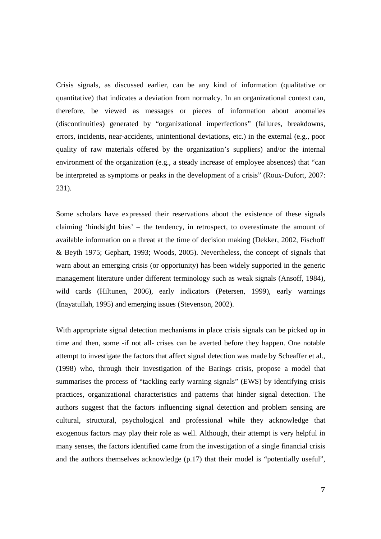Crisis signals, as discussed earlier, can be any kind of information (qualitative or quantitative) that indicates a deviation from normalcy. In an organizational context can, therefore, be viewed as messages or pieces of information about anomalies (discontinuities) generated by "organizational imperfections" (failures, breakdowns, errors, incidents, near-accidents, unintentional deviations, etc.) in the external (e.g., poor quality of raw materials offered by the organization's suppliers) and/or the internal environment of the organization (e.g., a steady increase of employee absences) that "can be interpreted as symptoms or peaks in the development of a crisis" (Roux-Dufort, 2007: 231).

Some scholars have expressed their reservations about the existence of these signals claiming 'hindsight bias' – the tendency, in retrospect, to overestimate the amount of available information on a threat at the time of decision making (Dekker, 2002, Fischoff & Beyth 1975; Gephart, 1993; Woods, 2005). Nevertheless, the concept of signals that warn about an emerging crisis (or opportunity) has been widely supported in the generic management literature under different terminology such as weak signals (Ansoff, 1984), wild cards (Hiltunen, 2006), early indicators (Petersen, 1999), early warnings (Inayatullah, 1995) and emerging issues (Stevenson, 2002).

With appropriate signal detection mechanisms in place crisis signals can be picked up in time and then, some -if not all- crises can be averted before they happen. One notable attempt to investigate the factors that affect signal detection was made by Scheaffer et al., (1998) who, through their investigation of the Barings crisis, propose a model that summarises the process of "tackling early warning signals" (EWS) by identifying crisis practices, organizational characteristics and patterns that hinder signal detection. The authors suggest that the factors influencing signal detection and problem sensing are cultural, structural, psychological and professional while they acknowledge that exogenous factors may play their role as well. Although, their attempt is very helpful in many senses, the factors identified came from the investigation of a single financial crisis and the authors themselves acknowledge (p.17) that their model is "potentially useful",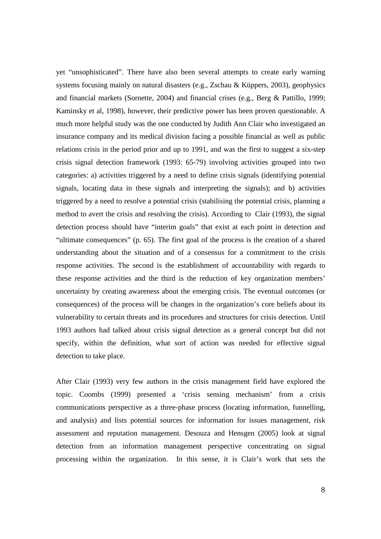yet "unsophisticated". There have also been several attempts to create early warning systems focusing mainly on natural disasters (e.g., Zschau & Küppers, 2003), geophysics and financial markets (Sornette, 2004) and financial crises (e.g., Berg & Pattillo, 1999; Kaminsky et al, 1998), however, their predictive power has been proven questionable. A much more helpful study was the one conducted by Judith Ann Clair who investigated an insurance company and its medical division facing a possible financial as well as public relations crisis in the period prior and up to 1991, and was the first to suggest a six-step crisis signal detection framework (1993: 65-79) involving activities grouped into two categories: a) activities triggered by a need to define crisis signals (identifying potential signals, locating data in these signals and interpreting the signals); and b) activities triggered by a need to resolve a potential crisis (stabilising the potential crisis, planning a method to avert the crisis and resolving the crisis). According to Clair (1993), the signal detection process should have "interim goals" that exist at each point in detection and "ultimate consequences" (p. 65). The first goal of the process is the creation of a shared understanding about the situation and of a consensus for a commitment to the crisis response activities. The second is the establishment of accountability with regards to these response activities and the third is the reduction of key organization members' uncertainty by creating awareness about the emerging crisis. The eventual outcomes (or consequences) of the process will be changes in the organization's core beliefs about its vulnerability to certain threats and its procedures and structures for crisis detection. Until 1993 authors had talked about crisis signal detection as a general concept but did not specify, within the definition, what sort of action was needed for effective signal detection to take place.

After Clair (1993) very few authors in the crisis management field have explored the topic. Coombs (1999) presented a 'crisis sensing mechanism' from a crisis communications perspective as a three-phase process (locating information, funnelling, and analysis) and lists potential sources for information for issues management, risk assessment and reputation management. Desouza and Hensgen (2005) look at signal detection from an information management perspective concentrating on signal processing within the organization. In this sense, it is Clair's work that sets the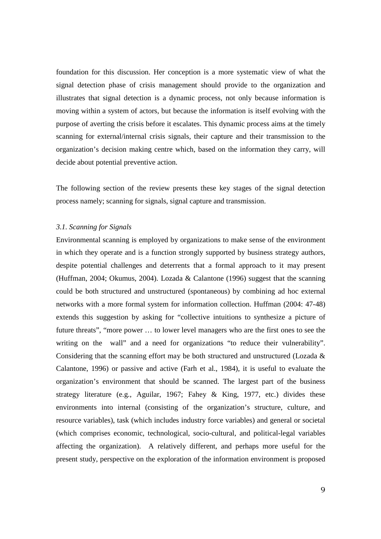foundation for this discussion. Her conception is a more systematic view of what the signal detection phase of crisis management should provide to the organization and illustrates that signal detection is a dynamic process, not only because information is moving within a system of actors, but because the information is itself evolving with the purpose of averting the crisis before it escalates. This dynamic process aims at the timely scanning for external/internal crisis signals, their capture and their transmission to the organization's decision making centre which, based on the information they carry, will decide about potential preventive action.

The following section of the review presents these key stages of the signal detection process namely; scanning for signals, signal capture and transmission.

## *3.1. Scanning for Signals*

Environmental scanning is employed by organizations to make sense of the environment in which they operate and is a function strongly supported by business strategy authors, despite potential challenges and deterrents that a formal approach to it may present (Huffman, 2004; Okumus, 2004). Lozada & Calantone (1996) suggest that the scanning could be both structured and unstructured (spontaneous) by combining ad hoc external networks with a more formal system for information collection. Huffman (2004: 47-48) extends this suggestion by asking for "collective intuitions to synthesize a picture of future threats", "more power … to lower level managers who are the first ones to see the writing on the wall" and a need for organizations "to reduce their vulnerability". Considering that the scanning effort may be both structured and unstructured (Lozada & Calantone, 1996) or passive and active (Farh et al., 1984), it is useful to evaluate the organization's environment that should be scanned. The largest part of the business strategy literature (e.g., Aguilar, 1967; Fahey & King, 1977, etc.) divides these environments into internal (consisting of the organization's structure, culture, and resource variables), task (which includes industry force variables) and general or societal (which comprises economic, technological, socio-cultural, and political-legal variables affecting the organization). A relatively different, and perhaps more useful for the present study, perspective on the exploration of the information environment is proposed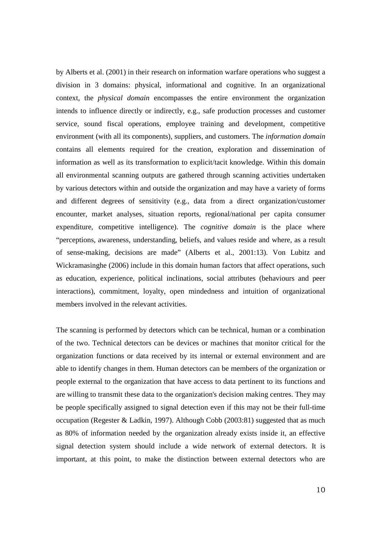by Alberts et al. (2001) in their research on information warfare operations who suggest a division in 3 domains: physical, informational and cognitive. In an organizational context, the *physical domain* encompasses the entire environment the organization intends to influence directly or indirectly, e.g., safe production processes and customer service, sound fiscal operations, employee training and development, competitive environment (with all its components), suppliers, and customers. The *information domain*  contains all elements required for the creation, exploration and dissemination of information as well as its transformation to explicit/tacit knowledge. Within this domain all environmental scanning outputs are gathered through scanning activities undertaken by various detectors within and outside the organization and may have a variety of forms and different degrees of sensitivity (e.g., data from a direct organization/customer encounter, market analyses, situation reports, regional/national per capita consumer expenditure, competitive intelligence). The *cognitive domain* is the place where "perceptions, awareness, understanding, beliefs, and values reside and where, as a result of sense-making, decisions are made" (Alberts et al., 2001:13). Von Lubitz and Wickramasinghe (2006) include in this domain human factors that affect operations, such as education, experience, political inclinations, social attributes (behaviours and peer interactions), commitment, loyalty, open mindedness and intuition of organizational members involved in the relevant activities.

The scanning is performed by detectors which can be technical, human or a combination of the two. Technical detectors can be devices or machines that monitor critical for the organization functions or data received by its internal or external environment and are able to identify changes in them. Human detectors can be members of the organization or people external to the organization that have access to data pertinent to its functions and are willing to transmit these data to the organization's decision making centres. They may be people specifically assigned to signal detection even if this may not be their full-time occupation (Regester & Ladkin, 1997). Although Cobb (2003:81) suggested that as much as 80% of information needed by the organization already exists inside it, an effective signal detection system should include a wide network of external detectors. It is important, at this point, to make the distinction between external detectors who are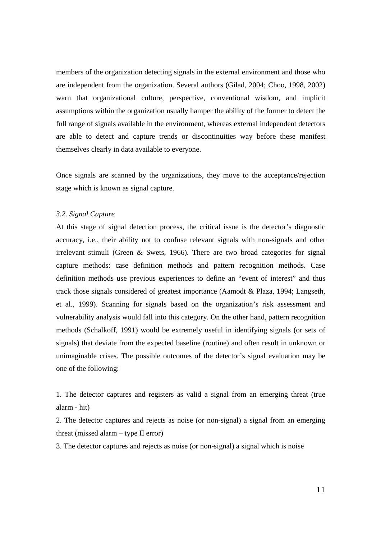members of the organization detecting signals in the external environment and those who are independent from the organization. Several authors (Gilad, 2004; Choo, 1998, 2002) warn that organizational culture, perspective, conventional wisdom, and implicit assumptions within the organization usually hamper the ability of the former to detect the full range of signals available in the environment, whereas external independent detectors are able to detect and capture trends or discontinuities way before these manifest themselves clearly in data available to everyone.

Once signals are scanned by the organizations, they move to the acceptance/rejection stage which is known as signal capture.

## *3.2. Signal Capture*

At this stage of signal detection process, the critical issue is the detector's diagnostic accuracy, i.e., their ability not to confuse relevant signals with non-signals and other irrelevant stimuli (Green & Swets, 1966). There are two broad categories for signal capture methods: case definition methods and pattern recognition methods. Case definition methods use previous experiences to define an "event of interest" and thus track those signals considered of greatest importance (Aamodt & Plaza, 1994; Langseth, et al., 1999). Scanning for signals based on the organization's risk assessment and vulnerability analysis would fall into this category. On the other hand, pattern recognition methods (Schalkoff, 1991) would be extremely useful in identifying signals (or sets of signals) that deviate from the expected baseline (routine) and often result in unknown or unimaginable crises. The possible outcomes of the detector's signal evaluation may be one of the following:

1. The detector captures and registers as valid a signal from an emerging threat (true alarm - hit)

2. The detector captures and rejects as noise (or non-signal) a signal from an emerging threat (missed alarm – type II error)

3. The detector captures and rejects as noise (or non-signal) a signal which is noise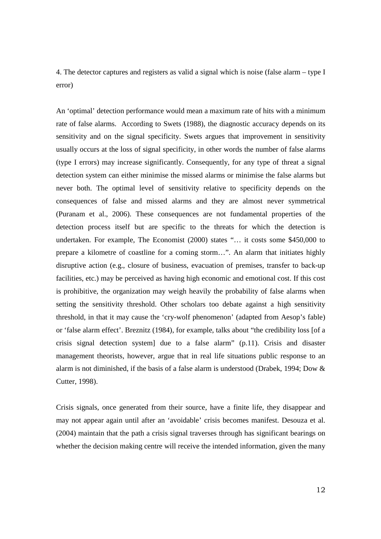4. The detector captures and registers as valid a signal which is noise (false alarm – type I error)

An 'optimal' detection performance would mean a maximum rate of hits with a minimum rate of false alarms. According to Swets (1988), the diagnostic accuracy depends on its sensitivity and on the signal specificity. Swets argues that improvement in sensitivity usually occurs at the loss of signal specificity, in other words the number of false alarms (type I errors) may increase significantly. Consequently, for any type of threat a signal detection system can either minimise the missed alarms or minimise the false alarms but never both. The optimal level of sensitivity relative to specificity depends on the consequences of false and missed alarms and they are almost never symmetrical (Puranam et al., 2006). These consequences are not fundamental properties of the detection process itself but are specific to the threats for which the detection is undertaken. For example, The Economist (2000) states "… it costs some \$450,000 to prepare a kilometre of coastline for a coming storm…". An alarm that initiates highly disruptive action (e.g., closure of business, evacuation of premises, transfer to back-up facilities, etc.) may be perceived as having high economic and emotional cost. If this cost is prohibitive, the organization may weigh heavily the probability of false alarms when setting the sensitivity threshold. Other scholars too debate against a high sensitivity threshold, in that it may cause the 'cry-wolf phenomenon' (adapted from Aesop's fable) or 'false alarm effect'. Breznitz (1984), for example, talks about "the credibility loss [of a crisis signal detection system] due to a false alarm" (p.11). Crisis and disaster management theorists, however, argue that in real life situations public response to an alarm is not diminished, if the basis of a false alarm is understood (Drabek, 1994; Dow & Cutter, 1998).

Crisis signals, once generated from their source, have a finite life, they disappear and may not appear again until after an 'avoidable' crisis becomes manifest. Desouza et al. (2004) maintain that the path a crisis signal traverses through has significant bearings on whether the decision making centre will receive the intended information, given the many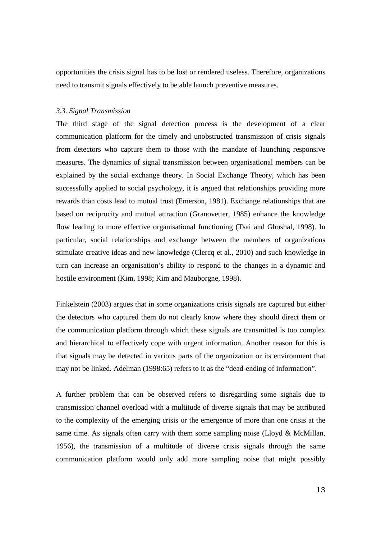opportunities the crisis signal has to be lost or rendered useless. Therefore, organizations need to transmit signals effectively to be able launch preventive measures.

#### *3.3. Signal Transmission*

The third stage of the signal detection process is the development of a clear communication platform for the timely and unobstructed transmission of crisis signals from detectors who capture them to those with the mandate of launching responsive measures. The dynamics of signal transmission between organisational members can be explained by the social exchange theory. In Social Exchange Theory, which has been successfully applied to social psychology, it is argued that relationships providing more rewards than costs lead to mutual trust (Emerson, 1981). Exchange relationships that are based on reciprocity and mutual attraction (Granovetter, 1985) enhance the knowledge flow leading to more effective organisational functioning (Tsai and Ghoshal, 1998). In particular, social relationships and exchange between the members of organizations stimulate creative ideas and new knowledge (Clercq et al., 2010) and such knowledge in turn can increase an organisation's ability to respond to the changes in a dynamic and hostile environment (Kim, 1998; Kim and Mauborgne, 1998).

Finkelstein (2003) argues that in some organizations crisis signals are captured but either the detectors who captured them do not clearly know where they should direct them or the communication platform through which these signals are transmitted is too complex and hierarchical to effectively cope with urgent information. Another reason for this is that signals may be detected in various parts of the organization or its environment that may not be linked. Adelman (1998:65) refers to it as the "dead-ending of information".

A further problem that can be observed refers to disregarding some signals due to transmission channel overload with a multitude of diverse signals that may be attributed to the complexity of the emerging crisis or the emergence of more than one crisis at the same time. As signals often carry with them some sampling noise (Lloyd & McMillan, 1956), the transmission of a multitude of diverse crisis signals through the same communication platform would only add more sampling noise that might possibly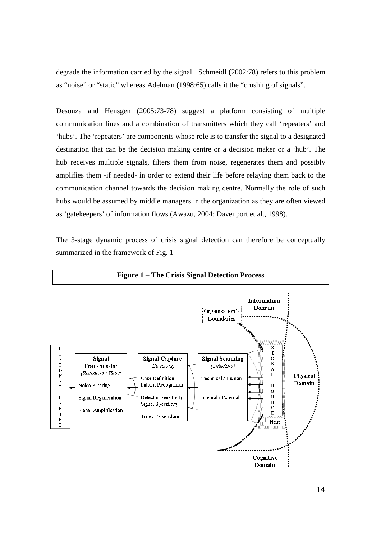degrade the information carried by the signal. Schmeidl (2002:78) refers to this problem as "noise" or "static" whereas Adelman (1998:65) calls it the "crushing of signals".

Desouza and Hensgen (2005:73-78) suggest a platform consisting of multiple communication lines and a combination of transmitters which they call 'repeaters' and 'hubs'. The 'repeaters' are components whose role is to transfer the signal to a designated destination that can be the decision making centre or a decision maker or a 'hub'. The hub receives multiple signals, filters them from noise, regenerates them and possibly amplifies them -if needed- in order to extend their life before relaying them back to the communication channel towards the decision making centre. Normally the role of such hubs would be assumed by middle managers in the organization as they are often viewed as 'gatekeepers' of information flows (Awazu, 2004; Davenport et al., 1998).

The 3-stage dynamic process of crisis signal detection can therefore be conceptually summarized in the framework of Fig. 1

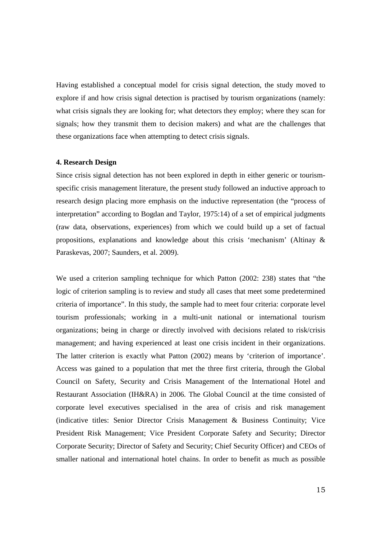Having established a conceptual model for crisis signal detection, the study moved to explore if and how crisis signal detection is practised by tourism organizations (namely: what crisis signals they are looking for; what detectors they employ; where they scan for signals; how they transmit them to decision makers) and what are the challenges that these organizations face when attempting to detect crisis signals.

## **4. Research Design**

Since crisis signal detection has not been explored in depth in either generic or tourismspecific crisis management literature, the present study followed an inductive approach to research design placing more emphasis on the inductive representation (the "process of interpretation" according to Bogdan and Taylor, 1975:14) of a set of empirical judgments (raw data, observations, experiences) from which we could build up a set of factual propositions, explanations and knowledge about this crisis 'mechanism' (Altinay & Paraskevas, 2007; Saunders, et al. 2009).

We used a criterion sampling technique for which Patton (2002: 238) states that "the logic of criterion sampling is to review and study all cases that meet some predetermined criteria of importance". In this study, the sample had to meet four criteria: corporate level tourism professionals; working in a multi-unit national or international tourism organizations; being in charge or directly involved with decisions related to risk/crisis management; and having experienced at least one crisis incident in their organizations. The latter criterion is exactly what Patton (2002) means by 'criterion of importance'. Access was gained to a population that met the three first criteria, through the Global Council on Safety, Security and Crisis Management of the International Hotel and Restaurant Association (IH&RA) in 2006. The Global Council at the time consisted of corporate level executives specialised in the area of crisis and risk management (indicative titles: Senior Director Crisis Management & Business Continuity; Vice President Risk Management; Vice President Corporate Safety and Security; Director Corporate Security; Director of Safety and Security; Chief Security Officer) and CEOs of smaller national and international hotel chains. In order to benefit as much as possible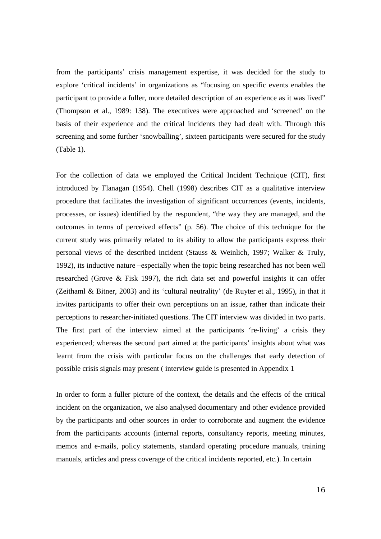from the participants' crisis management expertise, it was decided for the study to explore 'critical incidents' in organizations as "focusing on specific events enables the participant to provide a fuller, more detailed description of an experience as it was lived" (Thompson et al., 1989: 138). The executives were approached and 'screened' on the basis of their experience and the critical incidents they had dealt with. Through this screening and some further 'snowballing', sixteen participants were secured for the study (Table 1).

For the collection of data we employed the Critical Incident Technique (CIT), first introduced by Flanagan (1954). Chell (1998) describes CIT as a qualitative interview procedure that facilitates the investigation of significant occurrences (events, incidents, processes, or issues) identified by the respondent, "the way they are managed, and the outcomes in terms of perceived effects" (p. 56). The choice of this technique for the current study was primarily related to its ability to allow the participants express their personal views of the described incident (Stauss & Weinlich, 1997; Walker & Truly, 1992), its inductive nature –especially when the topic being researched has not been well researched (Grove & Fisk 1997), the rich data set and powerful insights it can offer (Zeithaml & Bitner, 2003) and its 'cultural neutrality' (de Ruyter et al., 1995), in that it invites participants to offer their own perceptions on an issue, rather than indicate their perceptions to researcher-initiated questions. The CIT interview was divided in two parts. The first part of the interview aimed at the participants 're-living' a crisis they experienced; whereas the second part aimed at the participants' insights about what was learnt from the crisis with particular focus on the challenges that early detection of possible crisis signals may present ( interview guide is presented in Appendix 1

In order to form a fuller picture of the context, the details and the effects of the critical incident on the organization, we also analysed documentary and other evidence provided by the participants and other sources in order to corroborate and augment the evidence from the participants accounts (internal reports, consultancy reports, meeting minutes, memos and e-mails, policy statements, standard operating procedure manuals, training manuals, articles and press coverage of the critical incidents reported, etc.). In certain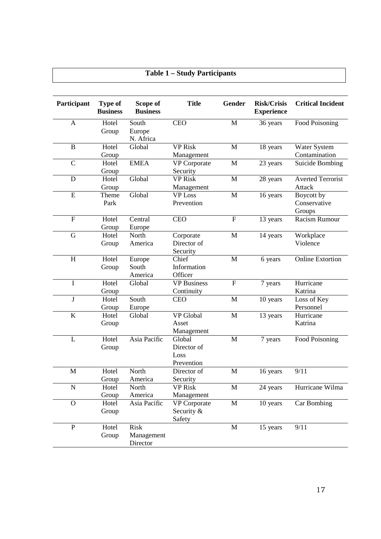| <b>Table 1 – Study Participants</b> |                                   |                                       |                                                          |               |                                         |                                      |
|-------------------------------------|-----------------------------------|---------------------------------------|----------------------------------------------------------|---------------|-----------------------------------------|--------------------------------------|
| Participant                         | <b>Type of</b><br><b>Business</b> | Scope of<br><b>Business</b>           | <b>Title</b>                                             | <b>Gender</b> | <b>Risk/Crisis</b><br><b>Experience</b> | <b>Critical Incident</b>             |
| A                                   | Hotel<br>Group                    | South<br>Europe<br>N. Africa          | <b>CEO</b>                                               | M             | 36 years                                | Food Poisoning                       |
| B                                   | Hotel<br>Group                    | Global                                | <b>VP Risk</b><br>M<br>Management                        |               | 18 years                                | Water System<br>Contamination        |
| $\mathsf{C}$                        | Hotel<br>Group                    | <b>EMEA</b>                           | <b>VP</b> Corporate<br>M<br>Security                     |               | 23 years                                | Suicide Bombing                      |
| D                                   | Hotel<br>Group                    | Global                                | VP Risk<br>M<br>Management                               |               | 28 years                                | <b>Averted Terrorist</b><br>Attack   |
| E                                   | Theme<br>Park                     | Global                                | <b>VP</b> Loss<br>M<br>Prevention                        |               | 16 years                                | Boycott by<br>Conservative<br>Groups |
| $\overline{F}$                      | Hotel<br>Group                    | Central<br>Europe                     | <b>CEO</b>                                               | ${\bf F}$     | 13 years                                | Racism Rumour                        |
| G                                   | Hotel<br>Group                    | North<br>America                      | Corporate<br>M<br>Director of<br>Security                |               | 14 years                                | Workplace<br>Violence                |
| H                                   | Hotel<br>Group                    | Europe<br>South<br>America            | Chief<br>M<br>Information<br>Officer                     |               | 6 years                                 | <b>Online Extortion</b>              |
| $\mathbf I$                         | Hotel<br>Group                    | Global                                | <b>VP Business</b><br>${\bf F}$<br>7 years<br>Continuity |               |                                         | Hurricane<br>Katrina                 |
| J                                   | Hotel<br>Group                    | South<br>Europe                       | M<br><b>CEO</b><br>10 years                              |               | Loss of Key<br>Personnel                |                                      |
| $\bf K$                             | Hotel<br>Group                    | Global                                | VP Global<br>M<br>13 years<br>Asset<br>Management        |               | Hurricane<br>Katrina                    |                                      |
| L                                   | Hotel<br>Group                    | Asia Pacific                          | Global<br>Director of<br>Loss<br>Prevention              | M             | 7 years                                 | Food Poisoning                       |
| $\mathbf M$                         | Hotel<br>Group                    | North<br>America                      | Director of<br>Security                                  | M             | 16 years                                | 9/11                                 |
| $\mathbf N$                         | Hotel<br>Group                    | North<br>America                      | <b>VP Risk</b><br>Management                             | M             | 24 years                                | Hurricane Wilma                      |
| $\mathbf{O}$                        | Hotel<br>Group                    | Asia Pacific                          | <b>VP</b> Corporate<br>Security &<br>Safety              | $\mathbf M$   | 10 years                                | Car Bombing                          |
| ${\bf P}$                           | Hotel<br>Group                    | <b>Risk</b><br>Management<br>Director |                                                          | M             | 15 years                                | 9/11                                 |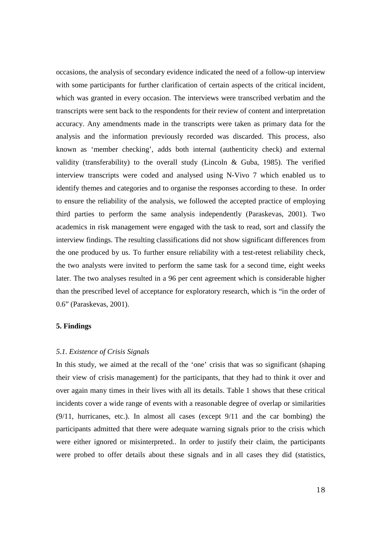occasions, the analysis of secondary evidence indicated the need of a follow-up interview with some participants for further clarification of certain aspects of the critical incident, which was granted in every occasion. The interviews were transcribed verbatim and the transcripts were sent back to the respondents for their review of content and interpretation accuracy. Any amendments made in the transcripts were taken as primary data for the analysis and the information previously recorded was discarded. This process, also known as 'member checking', adds both internal (authenticity check) and external validity (transferability) to the overall study (Lincoln & Guba, 1985). The verified interview transcripts were coded and analysed using N-Vivo 7 which enabled us to identify themes and categories and to organise the responses according to these. In order to ensure the reliability of the analysis, we followed the accepted practice of employing third parties to perform the same analysis independently (Paraskevas, 2001). Two academics in risk management were engaged with the task to read, sort and classify the interview findings. The resulting classifications did not show significant differences from the one produced by us. To further ensure reliability with a test-retest reliability check, the two analysts were invited to perform the same task for a second time, eight weeks later. The two analyses resulted in a 96 per cent agreement which is considerable higher than the prescribed level of acceptance for exploratory research, which is "in the order of 0.6" (Paraskevas, 2001).

## **5. Findings**

## *5.1. Existence of Crisis Signals*

In this study, we aimed at the recall of the 'one' crisis that was so significant (shaping their view of crisis management) for the participants, that they had to think it over and over again many times in their lives with all its details. Table 1 shows that these critical incidents cover a wide range of events with a reasonable degree of overlap or similarities (9/11, hurricanes, etc.). In almost all cases (except 9/11 and the car bombing) the participants admitted that there were adequate warning signals prior to the crisis which were either ignored or misinterpreted.. In order to justify their claim, the participants were probed to offer details about these signals and in all cases they did (statistics,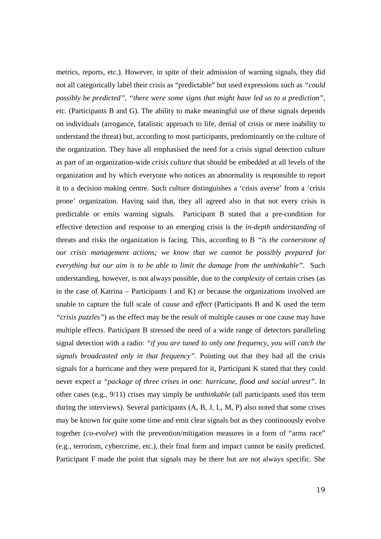metrics, reports, etc.). However, in spite of their admission of warning signals, they did not all categorically label their crisis as "predictable" but used expressions such as *"could possibly be predicted", "there were some signs that might have led us to a prediction"*, etc. (Participants B and G). The ability to make meaningful use of these signals depends on individuals (arrogance, fatalistic approach to life, denial of crisis or mere inability to understand the threat) but, according to most participants, predominantly on the culture of the organization. They have all emphasised the need for a crisis signal detection culture as part of an organization-wide *crisis culture* that should be embedded at all levels of the organization and by which everyone who notices an abnormality is responsible to report it to a decision making centre. Such culture distinguishes a 'crisis averse' from a 'crisis prone' organization. Having said that, they all agreed also in that not every crisis is predictable or emits warning signals. Participant B stated that a pre-condition for effective detection and response to an emerging crisis is the *in-depth understanding* of threats and risks the organization is facing. This, according to B *"is the cornerstone of our crisis management actions; we know that we cannot be possibly prepared for everything but our aim is to be able to limit the damage from the unthinkable".* Such understanding, however, is not always possible, due to the *complexity* of certain crises (as in the case of Katrina – Participants I and K) or because the organizations involved are unable to capture the full scale of *cause* and *effect* (Participants B and K used the term *"crisis puzzles"*) as the effect may be the result of multiple causes or one cause may have multiple effects. Participant B stressed the need of a wide range of detectors paralleling signal detection with a radio: *"if you are tuned to only one frequency, you will catch the signals broadcasted only in that frequency".* Pointing out that they had all the crisis signals for a hurricane and they were prepared for it, Participant K stated that they could never expect *a "package of three crises in one: hurricane, flood and social unrest"*. In other cases (e.g., 9/11) crises may simply be *unthinkable* (all participants used this term during the interviews). Several participants (A, B, J, L, M, P) also noted that some crises may be known for quite some time and emit clear signals but as they continuously evolve together (*co-evolve*) with the prevention/mitigation measures in a form of "arms race" (e.g., terrorism, cybercrime, etc.), their final form and impact cannot be easily predicted. Participant F made the point that signals may be there but are not always specific. She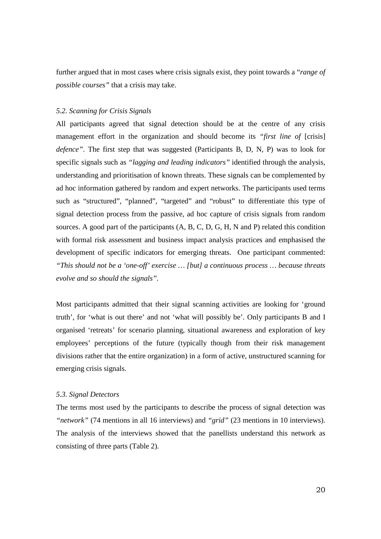further argued that in most cases where crisis signals exist, they point towards a "*range of possible courses"* that a crisis may take.

## *5.2. Scanning for Crisis Signals*

All participants agreed that signal detection should be at the centre of any crisis management effort in the organization and should become its *"first line of* [crisis] *defence"*. The first step that was suggested (Participants B, D, N, P) was to look for specific signals such as *"lagging and leading indicators"* identified through the analysis, understanding and prioritisation of known threats. These signals can be complemented by ad hoc information gathered by random and expert networks. The participants used terms such as "structured", "planned", "targeted" and "robust" to differentiate this type of signal detection process from the passive, ad hoc capture of crisis signals from random sources. A good part of the participants  $(A, B, C, D, G, H, N \text{ and } P)$  related this condition with formal risk assessment and business impact analysis practices and emphasised the development of specific indicators for emerging threats. One participant commented: *"This should not be a 'one-off' exercise … [but] a continuous process … because threats evolve and so should the signals".*

Most participants admitted that their signal scanning activities are looking for 'ground truth', for 'what is out there' and not 'what will possibly be'. Only participants B and I organised 'retreats' for scenario planning, situational awareness and exploration of key employees' perceptions of the future (typically though from their risk management divisions rather that the entire organization) in a form of active, unstructured scanning for emerging crisis signals.

#### *5.3. Signal Detectors*

The terms most used by the participants to describe the process of signal detection was *"network"* (74 mentions in all 16 interviews) and *"grid"* (23 mentions in 10 interviews). The analysis of the interviews showed that the panellists understand this network as consisting of three parts (Table 2).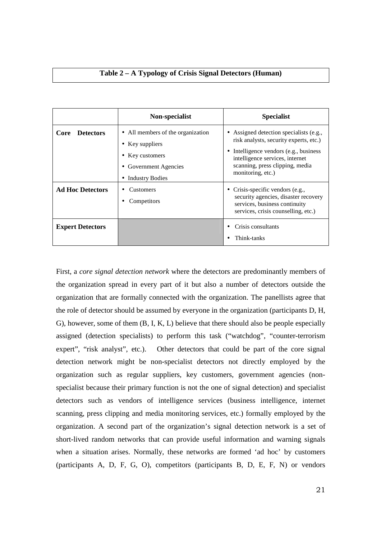|  |  | Table 2 – A Typology of Crisis Signal Detectors (Human) |  |  |
|--|--|---------------------------------------------------------|--|--|
|--|--|---------------------------------------------------------|--|--|

|                         | Non-specialist                                                                                                        | <b>Specialist</b>                                                                                                                                                                                                  |
|-------------------------|-----------------------------------------------------------------------------------------------------------------------|--------------------------------------------------------------------------------------------------------------------------------------------------------------------------------------------------------------------|
| Core Detectors          | • All members of the organization<br>• Key suppliers<br>• Key customers<br>• Government Agencies<br>• Industry Bodies | Assigned detection specialists (e.g.,<br>risk analysts, security experts, etc.)<br>Intelligence vendors (e.g., business<br>intelligence services, internet<br>scanning, press clipping, media<br>monitoring, etc.) |
| <b>Ad Hoc Detectors</b> | <b>Customers</b><br>Competitors                                                                                       | Crisis-specific vendors (e.g.,<br>٠<br>security agencies, disaster recovery<br>services, business continuity<br>services, crisis counselling, etc.)                                                                |
| <b>Expert Detectors</b> |                                                                                                                       | Crisis consultants<br>Think-tanks                                                                                                                                                                                  |

First, a *core signal detection network* where the detectors are predominantly members of the organization spread in every part of it but also a number of detectors outside the organization that are formally connected with the organization. The panellists agree that the role of detector should be assumed by everyone in the organization (participants D, H, G), however, some of them (B, I, K, L) believe that there should also be people especially assigned (detection specialists) to perform this task ("watchdog", "counter-terrorism expert", "risk analyst", etc.). Other detectors that could be part of the core signal detection network might be non-specialist detectors not directly employed by the organization such as regular suppliers, key customers, government agencies (nonspecialist because their primary function is not the one of signal detection) and specialist detectors such as vendors of intelligence services (business intelligence, internet scanning, press clipping and media monitoring services, etc.) formally employed by the organization. A second part of the organization's signal detection network is a set of short-lived random networks that can provide useful information and warning signals when a situation arises. Normally, these networks are formed 'ad hoc' by customers (participants A, D, F, G, O), competitors (participants B, D, E, F, N) or vendors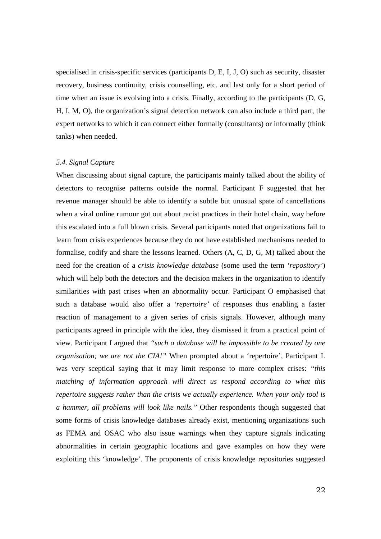specialised in crisis-specific services (participants D, E, I, J, O) such as security, disaster recovery, business continuity, crisis counselling, etc. and last only for a short period of time when an issue is evolving into a crisis. Finally, according to the participants (D, G, H, I, M, O), the organization's signal detection network can also include a third part, the expert networks to which it can connect either formally (consultants) or informally (think tanks) when needed.

## *5.4. Signal Capture*

When discussing about signal capture, the participants mainly talked about the ability of detectors to recognise patterns outside the normal. Participant F suggested that her revenue manager should be able to identify a subtle but unusual spate of cancellations when a viral online rumour got out about racist practices in their hotel chain, way before this escalated into a full blown crisis. Several participants noted that organizations fail to learn from crisis experiences because they do not have established mechanisms needed to formalise, codify and share the lessons learned. Others (A, C, D, G, M) talked about the need for the creation of a *crisis knowledge database* (some used the term *'repository'*) which will help both the detectors and the decision makers in the organization to identify similarities with past crises when an abnormality occur. Participant O emphasised that such a database would also offer a *'repertoire'* of responses thus enabling a faster reaction of management to a given series of crisis signals. However, although many participants agreed in principle with the idea, they dismissed it from a practical point of view. Participant I argued that *"such a database will be impossible to be created by one organisation; we are not the CIA!"* When prompted about a 'repertoire', Participant L was very sceptical saying that it may limit response to more complex crises: *"this matching of information approach will direct us respond according to what this repertoire suggests rather than the crisis we actually experience. When your only tool is a hammer, all problems will look like nails."* Other respondents though suggested that some forms of crisis knowledge databases already exist, mentioning organizations such as FEMA and OSAC who also issue warnings when they capture signals indicating abnormalities in certain geographic locations and gave examples on how they were exploiting this 'knowledge'. The proponents of crisis knowledge repositories suggested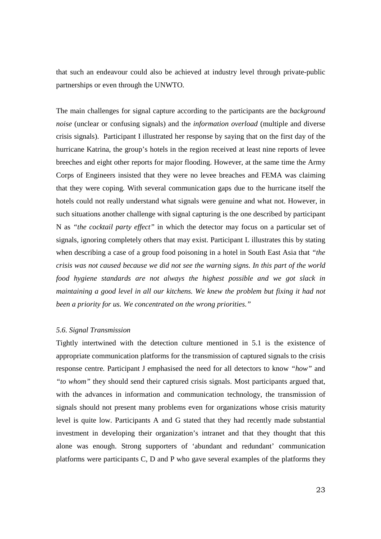that such an endeavour could also be achieved at industry level through private-public partnerships or even through the UNWTO.

The main challenges for signal capture according to the participants are the *background noise* (unclear or confusing signals) and the *information overload* (multiple and diverse crisis signals). Participant I illustrated her response by saying that on the first day of the hurricane Katrina, the group's hotels in the region received at least nine reports of levee breeches and eight other reports for major flooding. However, at the same time the Army Corps of Engineers insisted that they were no levee breaches and FEMA was claiming that they were coping. With several communication gaps due to the hurricane itself the hotels could not really understand what signals were genuine and what not. However, in such situations another challenge with signal capturing is the one described by participant N as *"the cocktail party effect"* in which the detector may focus on a particular set of signals, ignoring completely others that may exist. Participant L illustrates this by stating when describing a case of a group food poisoning in a hotel in South East Asia that *"the crisis was not caused because we did not see the warning signs. In this part of the world food hygiene standards are not always the highest possible and we got slack in maintaining a good level in all our kitchens. We knew the problem but fixing it had not been a priority for us. We concentrated on the wrong priorities."* 

## *5.6. Signal Transmission*

Tightly intertwined with the detection culture mentioned in 5.1 is the existence of appropriate communication platforms for the transmission of captured signals to the crisis response centre. Participant J emphasised the need for all detectors to know *"how"* and *"to whom"* they should send their captured crisis signals. Most participants argued that, with the advances in information and communication technology, the transmission of signals should not present many problems even for organizations whose crisis maturity level is quite low. Participants A and G stated that they had recently made substantial investment in developing their organization's intranet and that they thought that this alone was enough. Strong supporters of 'abundant and redundant' communication platforms were participants C, D and P who gave several examples of the platforms they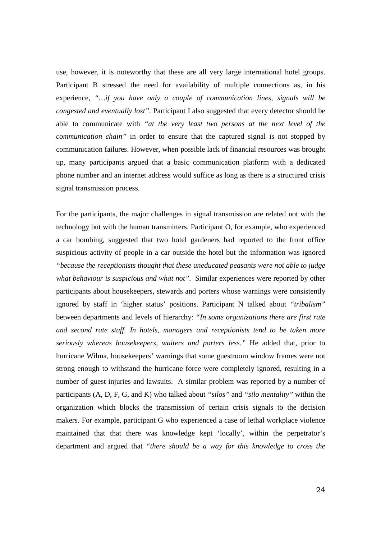use, however, it is noteworthy that these are all very large international hotel groups. Participant B stressed the need for availability of multiple connections as, in his experience, *"…if you have only a couple of communication lines, signals will be congested and eventually lost".* Participant I also suggested that every detector should be able to communicate with *"at the very least two persons at the next level of the communication chain"* in order to ensure that the captured signal is not stopped by communication failures. However, when possible lack of financial resources was brought up, many participants argued that a basic communication platform with a dedicated phone number and an internet address would suffice as long as there is a structured crisis signal transmission process.

For the participants, the major challenges in signal transmission are related not with the technology but with the human transmitters. Participant O, for example, who experienced a car bombing, suggested that two hotel gardeners had reported to the front office suspicious activity of people in a car outside the hotel but the information was ignored *"because the receptionists thought that these uneducated peasants were not able to judge what behaviour is suspicious and what not".* Similar experiences were reported by other participants about housekeepers, stewards and porters whose warnings were consistently ignored by staff in 'higher status' positions. Participant N talked about *"tribalism"* between departments and levels of hierarchy: *"In some organizations there are first rate and second rate staff. In hotels, managers and receptionists tend to be taken more seriously whereas housekeepers, waiters and porters less."* He added that, prior to hurricane Wilma, housekeepers' warnings that some guestroom window frames were not strong enough to withstand the hurricane force were completely ignored, resulting in a number of guest injuries and lawsuits. A similar problem was reported by a number of participants (A, D, F, G, and K) who talked about *"silos"* and *"silo mentality"* within the organization which blocks the transmission of certain crisis signals to the decision makers. For example, participant G who experienced a case of lethal workplace violence maintained that that there was knowledge kept 'locally', within the perpetrator's department and argued that *"there should be a way for this knowledge to cross the*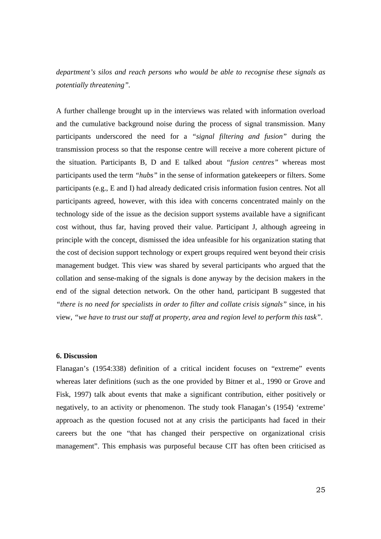*department's silos and reach persons who would be able to recognise these signals as potentially threatening".* 

A further challenge brought up in the interviews was related with information overload and the cumulative background noise during the process of signal transmission. Many participants underscored the need for a *"signal filtering and fusion"* during the transmission process so that the response centre will receive a more coherent picture of the situation. Participants B, D and E talked about *"fusion centres"* whereas most participants used the term *"hubs"* in the sense of information gatekeepers or filters. Some participants (e.g., E and I) had already dedicated crisis information fusion centres. Not all participants agreed, however, with this idea with concerns concentrated mainly on the technology side of the issue as the decision support systems available have a significant cost without, thus far, having proved their value. Participant J, although agreeing in principle with the concept, dismissed the idea unfeasible for his organization stating that the cost of decision support technology or expert groups required went beyond their crisis management budget. This view was shared by several participants who argued that the collation and sense-making of the signals is done anyway by the decision makers in the end of the signal detection network. On the other hand, participant B suggested that *"there is no need for specialists in order to filter and collate crisis signals"* since, in his view, *"we have to trust our staff at property, area and region level to perform this task"*.

#### **6. Discussion**

Flanagan's (1954:338) definition of a critical incident focuses on "extreme" events whereas later definitions (such as the one provided by Bitner et al., 1990 or Grove and Fisk, 1997) talk about events that make a significant contribution, either positively or negatively, to an activity or phenomenon. The study took Flanagan's (1954) 'extreme' approach as the question focused not at any crisis the participants had faced in their careers but the one "that has changed their perspective on organizational crisis management". This emphasis was purposeful because CIT has often been criticised as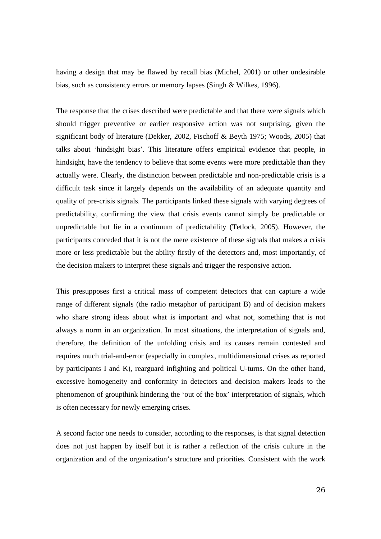having a design that may be flawed by recall bias (Michel, 2001) or other undesirable bias, such as consistency errors or memory lapses (Singh & Wilkes, 1996).

The response that the crises described were predictable and that there were signals which should trigger preventive or earlier responsive action was not surprising, given the significant body of literature (Dekker, 2002, Fischoff & Beyth 1975; Woods, 2005) that talks about 'hindsight bias'. This literature offers empirical evidence that people, in hindsight, have the tendency to believe that some events were more predictable than they actually were. Clearly, the distinction between predictable and non-predictable crisis is a difficult task since it largely depends on the availability of an adequate quantity and quality of pre-crisis signals. The participants linked these signals with varying degrees of predictability, confirming the view that crisis events cannot simply be predictable or unpredictable but lie in a continuum of predictability (Tetlock, 2005). However, the participants conceded that it is not the mere existence of these signals that makes a crisis more or less predictable but the ability firstly of the detectors and, most importantly, of the decision makers to interpret these signals and trigger the responsive action.

This presupposes first a critical mass of competent detectors that can capture a wide range of different signals (the radio metaphor of participant B) and of decision makers who share strong ideas about what is important and what not, something that is not always a norm in an organization. In most situations, the interpretation of signals and, therefore, the definition of the unfolding crisis and its causes remain contested and requires much trial-and-error (especially in complex, multidimensional crises as reported by participants I and K), rearguard infighting and political U-turns. On the other hand, excessive homogeneity and conformity in detectors and decision makers leads to the phenomenon of groupthink hindering the 'out of the box' interpretation of signals, which is often necessary for newly emerging crises.

A second factor one needs to consider, according to the responses, is that signal detection does not just happen by itself but it is rather a reflection of the crisis culture in the organization and of the organization's structure and priorities. Consistent with the work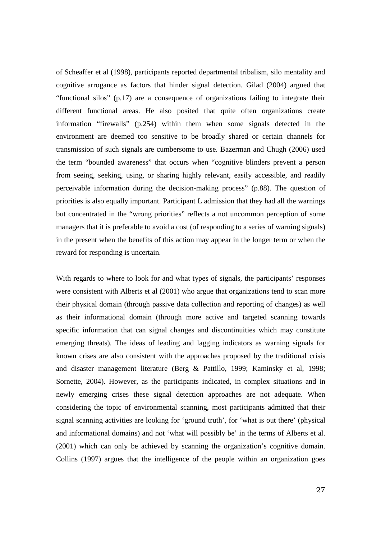of Scheaffer et al (1998), participants reported departmental tribalism, silo mentality and cognitive arrogance as factors that hinder signal detection. Gilad (2004) argued that "functional silos" (p.17) are a consequence of organizations failing to integrate their different functional areas. He also posited that quite often organizations create information "firewalls" (p.254) within them when some signals detected in the environment are deemed too sensitive to be broadly shared or certain channels for transmission of such signals are cumbersome to use. Bazerman and Chugh (2006) used the term "bounded awareness" that occurs when "cognitive blinders prevent a person from seeing, seeking, using, or sharing highly relevant, easily accessible, and readily perceivable information during the decision-making process" (p.88). The question of priorities is also equally important. Participant L admission that they had all the warnings but concentrated in the "wrong priorities" reflects a not uncommon perception of some managers that it is preferable to avoid a cost (of responding to a series of warning signals) in the present when the benefits of this action may appear in the longer term or when the reward for responding is uncertain.

With regards to where to look for and what types of signals, the participants' responses were consistent with Alberts et al  $(2001)$  who argue that organizations tend to scan more their physical domain (through passive data collection and reporting of changes) as well as their informational domain (through more active and targeted scanning towards specific information that can signal changes and discontinuities which may constitute emerging threats). The ideas of leading and lagging indicators as warning signals for known crises are also consistent with the approaches proposed by the traditional crisis and disaster management literature (Berg & Pattillo, 1999; Kaminsky et al, 1998; Sornette, 2004). However, as the participants indicated, in complex situations and in newly emerging crises these signal detection approaches are not adequate. When considering the topic of environmental scanning, most participants admitted that their signal scanning activities are looking for 'ground truth', for 'what is out there' (physical and informational domains) and not 'what will possibly be' in the terms of Alberts et al. (2001) which can only be achieved by scanning the organization's cognitive domain. Collins (1997) argues that the intelligence of the people within an organization goes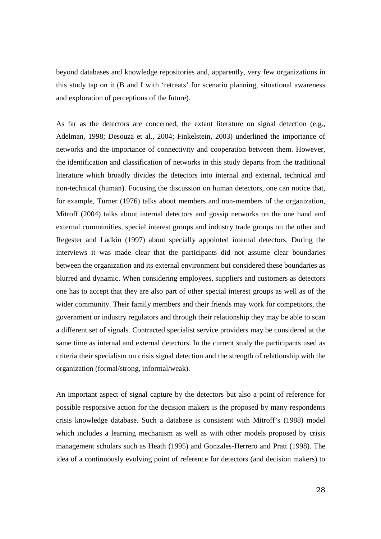beyond databases and knowledge repositories and, apparently, very few organizations in this study tap on it (B and I with 'retreats' for scenario planning, situational awareness and exploration of perceptions of the future).

As far as the detectors are concerned, the extant literature on signal detection (e.g., Adelman, 1998; Desouza et al., 2004; Finkelstein, 2003) underlined the importance of networks and the importance of connectivity and cooperation between them. However, the identification and classification of networks in this study departs from the traditional literature which broadly divides the detectors into internal and external, technical and non-technical (human). Focusing the discussion on human detectors, one can notice that, for example, Turner (1976) talks about members and non-members of the organization, Mitroff (2004) talks about internal detectors and gossip networks on the one hand and external communities, special interest groups and industry trade groups on the other and Regester and Ladkin (1997) about specially appointed internal detectors. During the interviews it was made clear that the participants did not assume clear boundaries between the organization and its external environment but considered these boundaries as blurred and dynamic. When considering employees, suppliers and customers as detectors one has to accept that they are also part of other special interest groups as well as of the wider community. Their family members and their friends may work for competitors, the government or industry regulators and through their relationship they may be able to scan a different set of signals. Contracted specialist service providers may be considered at the same time as internal and external detectors. In the current study the participants used as criteria their specialism on crisis signal detection and the strength of relationship with the organization (formal/strong, informal/weak).

An important aspect of signal capture by the detectors but also a point of reference for possible responsive action for the decision makers is the proposed by many respondents crisis knowledge database. Such a database is consistent with Mitroff's (1988) model which includes a learning mechanism as well as with other models proposed by crisis management scholars such as Heath (1995) and Gonzales-Herrero and Pratt (1998). The idea of a continuously evolving point of reference for detectors (and decision makers) to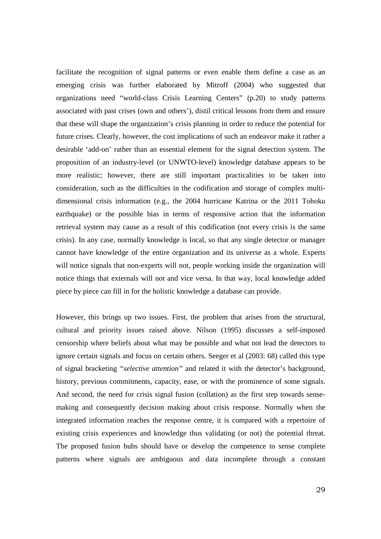facilitate the recognition of signal patterns or even enable them define a case as an emerging crisis was further elaborated by Mitroff (2004) who suggested that organizations need "world-class Crisis Learning Centers" (p.20) to study patterns associated with past crises (own and others'), distil critical lessons from them and ensure that these will shape the organization's crisis planning in order to reduce the potential for future crises. Clearly, however, the cost implications of such an endeavor make it rather a desirable 'add-on' rather than an essential element for the signal detection system. The proposition of an industry-level (or UNWTO-level) knowledge database appears to be more realistic; however, there are still important practicalities to be taken into consideration, such as the difficulties in the codification and storage of complex multidimensional crisis information (e.g., the 2004 hurricane Katrina or the 2011 Tohoku earthquake) or the possible bias in terms of responsive action that the information retrieval system may cause as a result of this codification (not every crisis is the same crisis). In any case, normally knowledge is local, so that any single detector or manager cannot have knowledge of the entire organization and its universe as a whole. Experts will notice signals that non-experts will not, people working inside the organization will notice things that externals will not and vice versa. In that way, local knowledge added piece by piece can fill in for the holistic knowledge a database can provide.

However, this brings up two issues. First, the problem that arises from the structural, cultural and priority issues raised above. Nilson (1995) discusses a self-imposed censorship where beliefs about what may be possible and what not lead the detectors to ignore certain signals and focus on certain others. Seeger et al (2003: 68) called this type of signal bracketing *"selective attention"* and related it with the detector's background, history, previous commitments, capacity, ease, or with the prominence of some signals. And second, the need for crisis signal fusion (collation) as the first step towards sensemaking and consequently decision making about crisis response. Normally when the integrated information reaches the response centre, it is compared with a repertoire of existing crisis experiences and knowledge thus validating (or not) the potential threat. The proposed fusion hubs should have or develop the competence to sense complete patterns where signals are ambiguous and data incomplete through a constant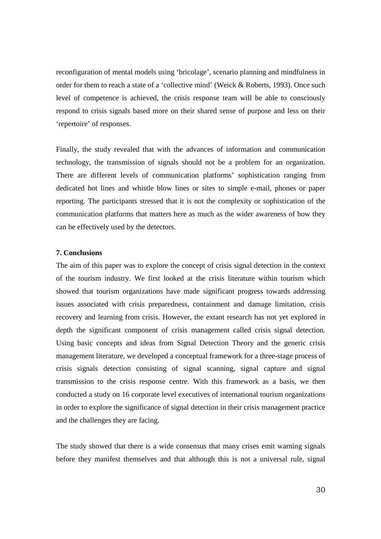reconfiguration of mental models using 'bricolage', scenario planning and mindfulness in order for them to reach a state of a 'collective mind' (Weick & Roberts, 1993). Once such level of competence is achieved, the crisis response team will be able to consciously respond to crisis signals based more on their shared sense of purpose and less on their 'repertoire' of responses.

Finally, the study revealed that with the advances of information and communication technology, the transmission of signals should not be a problem for an organization. There are different levels of communication platforms' sophistication ranging from dedicated hot lines and whistle blow lines or sites to simple e-mail, phones or paper reporting. The participants stressed that it is not the complexity or sophistication of the communication platforms that matters here as much as the wider awareness of how they can be effectively used by the detectors.

## **7. Conclusions**

The aim of this paper was to explore the concept of crisis signal detection in the context of the tourism industry. We first looked at the crisis literature within tourism which showed that tourism organizations have made significant progress towards addressing issues associated with crisis preparedness, containment and damage limitation, crisis recovery and learning from crisis. However, the extant research has not yet explored in depth the significant component of crisis management called crisis signal detection. Using basic concepts and ideas from Signal Detection Theory and the generic crisis management literature, we developed a conceptual framework for a three-stage process of crisis signals detection consisting of signal scanning, signal capture and signal transmission to the crisis response centre. With this framework as a basis, we then conducted a study on 16 corporate level executives of international tourism organizations in order to explore the significance of signal detection in their crisis management practice and the challenges they are facing.

The study showed that there is a wide consensus that many crises emit warning signals before they manifest themselves and that although this is not a universal rule, signal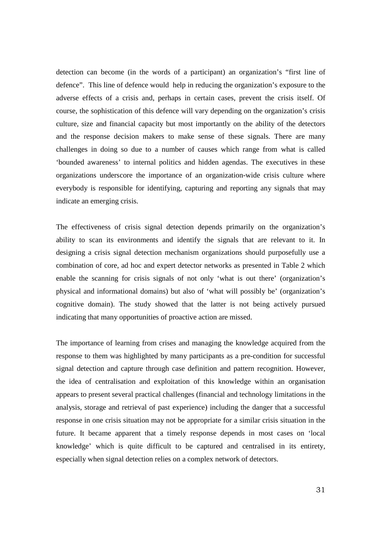detection can become (in the words of a participant) an organization's "first line of defence". This line of defence would help in reducing the organization's exposure to the adverse effects of a crisis and, perhaps in certain cases, prevent the crisis itself. Of course, the sophistication of this defence will vary depending on the organization's crisis culture, size and financial capacity but most importantly on the ability of the detectors and the response decision makers to make sense of these signals. There are many challenges in doing so due to a number of causes which range from what is called 'bounded awareness' to internal politics and hidden agendas. The executives in these organizations underscore the importance of an organization-wide crisis culture where everybody is responsible for identifying, capturing and reporting any signals that may indicate an emerging crisis.

The effectiveness of crisis signal detection depends primarily on the organization's ability to scan its environments and identify the signals that are relevant to it. In designing a crisis signal detection mechanism organizations should purposefully use a combination of core, ad hoc and expert detector networks as presented in Table 2 which enable the scanning for crisis signals of not only 'what is out there' (organization's physical and informational domains) but also of 'what will possibly be' (organization's cognitive domain). The study showed that the latter is not being actively pursued indicating that many opportunities of proactive action are missed.

The importance of learning from crises and managing the knowledge acquired from the response to them was highlighted by many participants as a pre-condition for successful signal detection and capture through case definition and pattern recognition. However, the idea of centralisation and exploitation of this knowledge within an organisation appears to present several practical challenges (financial and technology limitations in the analysis, storage and retrieval of past experience) including the danger that a successful response in one crisis situation may not be appropriate for a similar crisis situation in the future. It became apparent that a timely response depends in most cases on 'local knowledge' which is quite difficult to be captured and centralised in its entirety, especially when signal detection relies on a complex network of detectors.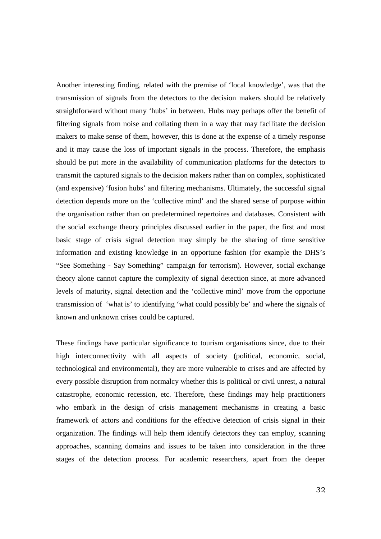Another interesting finding, related with the premise of 'local knowledge', was that the transmission of signals from the detectors to the decision makers should be relatively straightforward without many 'hubs' in between. Hubs may perhaps offer the benefit of filtering signals from noise and collating them in a way that may facilitate the decision makers to make sense of them, however, this is done at the expense of a timely response and it may cause the loss of important signals in the process. Therefore, the emphasis should be put more in the availability of communication platforms for the detectors to transmit the captured signals to the decision makers rather than on complex, sophisticated (and expensive) 'fusion hubs' and filtering mechanisms. Ultimately, the successful signal detection depends more on the 'collective mind' and the shared sense of purpose within the organisation rather than on predetermined repertoires and databases. Consistent with the social exchange theory principles discussed earlier in the paper, the first and most basic stage of crisis signal detection may simply be the sharing of time sensitive information and existing knowledge in an opportune fashion (for example the DHS's "See Something - Say Something" campaign for terrorism). However, social exchange theory alone cannot capture the complexity of signal detection since, at more advanced levels of maturity, signal detection and the 'collective mind' move from the opportune transmission of 'what is' to identifying 'what could possibly be' and where the signals of known and unknown crises could be captured.

These findings have particular significance to tourism organisations since, due to their high interconnectivity with all aspects of society (political, economic, social, technological and environmental), they are more vulnerable to crises and are affected by every possible disruption from normalcy whether this is political or civil unrest, a natural catastrophe, economic recession, etc. Therefore, these findings may help practitioners who embark in the design of crisis management mechanisms in creating a basic framework of actors and conditions for the effective detection of crisis signal in their organization. The findings will help them identify detectors they can employ, scanning approaches, scanning domains and issues to be taken into consideration in the three stages of the detection process. For academic researchers, apart from the deeper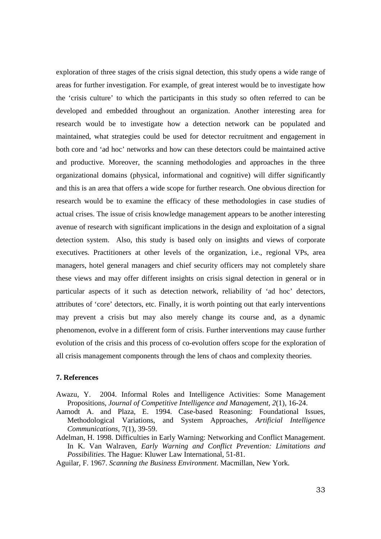exploration of three stages of the crisis signal detection, this study opens a wide range of areas for further investigation. For example, of great interest would be to investigate how the 'crisis culture' to which the participants in this study so often referred to can be developed and embedded throughout an organization. Another interesting area for research would be to investigate how a detection network can be populated and maintained, what strategies could be used for detector recruitment and engagement in both core and 'ad hoc' networks and how can these detectors could be maintained active and productive. Moreover, the scanning methodologies and approaches in the three organizational domains (physical, informational and cognitive) will differ significantly and this is an area that offers a wide scope for further research. One obvious direction for research would be to examine the efficacy of these methodologies in case studies of actual crises. The issue of crisis knowledge management appears to be another interesting avenue of research with significant implications in the design and exploitation of a signal detection system. Also, this study is based only on insights and views of corporate executives. Practitioners at other levels of the organization, i.e., regional VPs, area managers, hotel general managers and chief security officers may not completely share these views and may offer different insights on crisis signal detection in general or in particular aspects of it such as detection network, reliability of 'ad hoc' detectors, attributes of 'core' detectors, etc. Finally, it is worth pointing out that early interventions may prevent a crisis but may also merely change its course and, as a dynamic phenomenon, evolve in a different form of crisis. Further interventions may cause further evolution of the crisis and this process of co-evolution offers scope for the exploration of all crisis management components through the lens of chaos and complexity theories.

## **7. References**

- Awazu, Y. 2004. Informal Roles and Intelligence Activities: Some Management Propositions, *Journal of Competitive Intelligence and Management, 2*(1), 16-24.
- Aamodt A. and Plaza, E. 1994. Case-based Reasoning: Foundational Issues, Methodological Variations, and System Approaches, *Artificial Intelligence Communications,* 7(1), 39-59.
- Adelman, H. 1998. Difficulties in Early Warning: Networking and Conflict Management. In K. Van Walraven, *Early Warning and Conflict Prevention: Limitations and Possibilities*. The Hague: Kluwer Law International, 51-81.

Aguilar, F. 1967. *Scanning the Business Environment*. Macmillan, New York.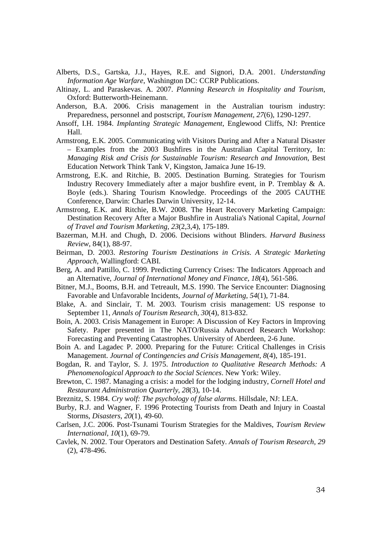- Alberts, D.S., Gartska, J.J., Hayes, R.E. and Signori, D.A. 2001. *Understanding Information Age Warfare*, Washington DC: CCRP Publications.
- Altinay, L. and Paraskevas. A. 2007. *Planning Research in Hospitality and Tourism*, Oxford: Butterworth-Heinemann.
- Anderson, B.A. 2006. Crisis management in the Australian tourism industry: Preparedness, personnel and postscript, *Tourism Management, 27*(6), 1290-1297.
- Ansoff, I.H. 1984. *Implanting Strategic Management*, Englewood Cliffs, NJ: Prentice Hall.
- Armstrong, E.K. 2005. Communicating with Visitors During and After a Natural Disaster – Examples from the 2003 Bushfires in the Australian Capital Territory, In: *Managing Risk and Crisis for Sustainable Tourism: Research and Innovation*, Best Education Network Think Tank V, Kingston, Jamaica June 16-19.
- Armstrong, E.K. and Ritchie, B. 2005. Destination Burning. Strategies for Tourism Industry Recovery Immediately after a major bushfire event, in P. Tremblay & A. Boyle (eds.). Sharing Tourism Knowledge. Proceedings of the 2005 CAUTHE Conference, Darwin: Charles Darwin University, 12-14.
- Armstrong, E.K. and Ritchie, B.W. 2008. The Heart Recovery Marketing Campaign: Destination Recovery After a Major Bushfire in Australia's National Capital, *Journal of Travel and Tourism Marketing, 23*(2,3,4), 175-189.
- Bazerman, M.H. and Chugh, D. 2006. Decisions without Blinders. *Harvard Business Review*, 84(1), 88-97.
- Beirman, D. 2003. *Restoring Tourism Destinations in Crisis. A Strategic Marketing Approach,* Wallingford: CABI.
- Berg, A. and Pattillo, C. 1999. Predicting Currency Crises: The Indicators Approach and an Alternative, *Journal of International Money and Finance, 18*(4), 561-586.
- Bitner, M.J., Booms, B.H. and Tetreault, M.S. 1990. The Service Encounter: Diagnosing Favorable and Unfavorable Incidents, *Journal of Marketing, 54*(1), 71-84.
- Blake, A. and Sinclair, T. M. 2003. Tourism crisis management: US response to September 11, *Annals of Tourism Research, 30*(4), 813-832.
- Boin, A. 2003. Crisis Management in Europe: A Discussion of Key Factors in Improving Safety. Paper presented in The NATO/Russia Advanced Research Workshop: Forecasting and Preventing Catastrophes. University of Aberdeen, 2-6 June.
- Boin A. and Lagadec P. 2000. Preparing for the Future: Critical Challenges in Crisis Management. *Journal of Contingencies and Crisis Management, 8*(4), 185-191.
- Bogdan, R. and Taylor, S. J. 1975. *Introduction to Qualitative Research Methods: A Phenomenological Approach to the Social Sciences*. New York: Wiley.
- Brewton, C. 1987. Managing a crisis: a model for the lodging industry, *Cornell Hotel and Restaurant Administration Quarterly, 28*(3), 10-14.
- Breznitz, S. 1984. *Cry wolf: The psychology of false alarms*. Hillsdale, NJ: LEA.
- Burby, R.J. and Wagner, F. 1996 Protecting Tourists from Death and Injury in Coastal Storms, *Disasters, 20*(1), 49-60.
- Carlsen, J.C. 2006. Post-Tsunami Tourism Strategies for the Maldives, *Tourism Review International, 10*(1), 69-79.
- Cavlek, N. 2002. Tour Operators and Destination Safety. *Annals of Tourism Research, 29* (2), 478-496.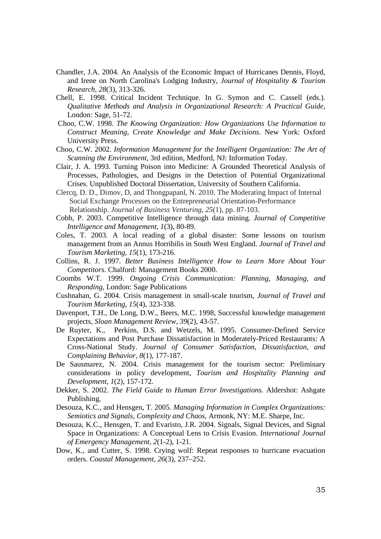- Chandler, J.A. 2004. An Analysis of the Economic Impact of Hurricanes Dennis, Floyd, and Irene on North Carolina's Lodging Industry, *Journal of Hospitality & Tourism Research, 28*(3), 313-326.
- Chell, E. 1998. Critical Incident Technique. In G. Symon and C. Cassell (eds.). *Qualitative Methods and Analysis in Organizational Research: A Practical Guide*, London: Sage, 51-72.
- Choo, C.W. 1998. *The Knowing Organization: How Organizations Use Information to Construct Meaning, Create Knowledge and Make Decisions*. New York: Oxford University Press.
- Choo, C.W. 2002. *Information Management for the Intelligent Organization: The Art of Scanning the Environment*, 3rd edition, Medford, NJ: Information Today.
- Clair, J. A. 1993. Turning Poison into Medicine: A Grounded Theoretical Analysis of Processes, Pathologies, and Designs in the Detection of Potential Organizational Crises. Unpublished Doctoral Dissertation, University of Southern California.
- Clercq, D. D., Dimov, D, and Thongpapanl, N. 2010. The Moderating Impact of Internal Social Exchange Processes on the Entrepreneurial Orientation-Performance Relationship. *Journal of Business Venturing*, *25*(1), pp. 87-103.
- Cobb, P. 2003. Competitive Intelligence through data mining. *Journal of Competitive Intelligence and Management, 1*(3), 80-89.
- Coles, T. 2003. A local reading of a global disaster: Some lessons on tourism management from an Annus Horribilis in South West England. *Journal of Travel and Tourism Marketing, 15*(1), 173-216.
- Collins, R. J. 1997. *Better Business Intelligence How to Learn More About Your Competitors.* Chalford: Management Books 2000.
- Coombs W.T. 1999. *Ongoing Crisis Communication: Planning, Managing, and Responding,* London: Sage Publications
- Cushnahan, G. 2004. Crisis management in small-scale tourism, *Journal of Travel and Tourism Marketing, 15*(4), 323-338.
- Davenport, T.H., De Long, D.W., Beers, M.C. 1998, Successful knowledge management projects, *Sloan Management Review, 39*(2), 43-57.
- De Ruyter, K., Perkins, D.S. and Wetzels, M. 1995. Consumer-Defined Service Expectations and Post Purchase Dissatisfaction in Moderately-Priced Restaurants: A Cross-National Study. *Journal of Consumer Satisfaction, Dissatisfaction, and Complaining Behavior, 8*(1), 177-187.
- De Sausmarez, N. 2004. Crisis management for the tourism sector: Preliminary considerations in policy development, *Tourism and Hospitality Planning and Development, 1*(2), 157-172.
- Dekker, S. 2002. *The Field Guide to Human Error Investigations.* Aldershot: Ashgate Publishing.
- Desouza, K.C., and Hensgen, T. 2005. *Managing Information in Complex Organizations: Semiotics and Signals, Complexity and Chaos*, Armonk, NY: M.E. Sharpe, Inc.
- Desouza, K.C., Hensgen, T. and Evaristo, J.R. 2004. Signals, Signal Devices, and Signal Space in Organizations: A Conceptual Lens to Crisis Evasion. *International Journal of Emergency Management, 2*(1-2), 1-21.
- Dow, K., and Cutter, S. 1998. Crying wolf: Repeat responses to hurricane evacuation orders. *Coastal Management, 26*(3), 237–252.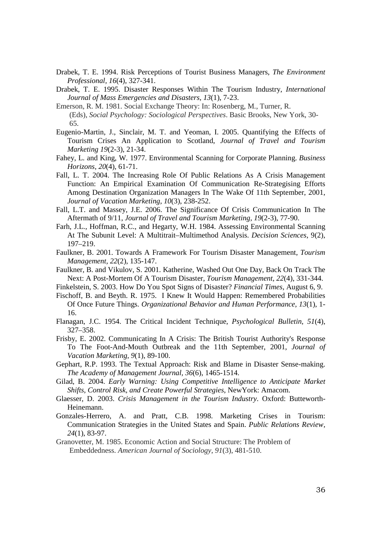- Drabek, T. E. 1994. Risk Perceptions of Tourist Business Managers, *The Environment Professional, 16*(4), 327-341.
- Drabek, T. E. 1995. Disaster Responses Within The Tourism Industry, *International Journal of Mass Emergencies and Disasters, 13*(1), 7-23.
- Emerson, R. M. 1981. Social Exchange Theory: In: Rosenberg, M., Turner, R. (Eds), *Social Psychology: Sociological Perspectives*. Basic Brooks, New York, 30- 65.
- Eugenio-Martin, J., Sinclair, M. T. and Yeoman, I. 2005. Quantifying the Effects of Tourism Crises An Application to Scotland, *Journal of Travel and Tourism Marketing 19*(2-3), 21-34.
- Fahey, L. and King, W. 1977. Environmental Scanning for Corporate Planning. *Business Horizons, 20*(4), 61-71.
- Fall, L. T. 2004. The Increasing Role Of Public Relations As A Crisis Management Function: An Empirical Examination Of Communication Re-Strategising Efforts Among Destination Organization Managers In The Wake Of 11th September, 2001, *Journal of Vacation Marketing, 10*(3), 238-252.
- Fall, L.T. and Massey, J.E. 2006. The Significance Of Crisis Communication In The Aftermath of 9/11, *Journal of Travel and Tourism Marketing, 19*(2-3), 77-90.
- Farh, J.L., Hoffman, R.C., and Hegarty, W.H. 1984. Assessing Environmental Scanning At The Subunit Level: A Multitrait–Multimethod Analysis. *Decision Sciences*, 9(2), 197–219.
- Faulkner, B. 2001. Towards A Framework For Tourism Disaster Management, *Tourism Management, 22*(2), 135-147.
- Faulkner, B. and Vikulov, S. 2001. Katherine, Washed Out One Day, Back On Track The Next: A Post-Mortem Of A Tourism Disaster, *Tourism Management, 22*(4), 331-344.
- Finkelstein, S. 2003. How Do You Spot Signs of Disaster? *Financial Times*, August 6, 9.
- Fischoff, B. and Beyth. R. 1975. I Knew It Would Happen: Remembered Probabilities Of Once Future Things. *Organizational Behavior and Human Performance, 13*(1), 1- 16.
- Flanagan, J.C. 1954. The Critical Incident Technique, *Psychological Bulletin, 51*(4), 327–358.
- Frisby, E. 2002. Communicating In A Crisis: The British Tourist Authority's Response To The Foot-And-Mouth Outbreak and the 11th September, 2001, *Journal of Vacation Marketing, 9*(1), 89-100.
- Gephart, R.P. 1993. The Textual Approach: Risk and Blame in Disaster Sense-making. *The Academy of Management Journal, 36*(6), 1465-1514.
- Gilad, B. 2004. *Early Warning: Using Competitive Intelligence to Anticipate Market Shifts, Control Risk, and Create Powerful Strategies*, NewYork: Amacom.
- Glaesser, D. 2003. *Crisis Management in the Tourism Industry*. Oxford: Butteworth-Heinemann.
- Gonzales-Herrero, A. and Pratt, C.B. 1998. Marketing Crises in Tourism: Communication Strategies in the United States and Spain. *Public Relations Review, 24*(1), 83-97.
- Granovetter, M. 1985. Economic Action and Social Structure: The Problem of Embeddedness. *American Journal of Sociology*, *91*(3), 481-510.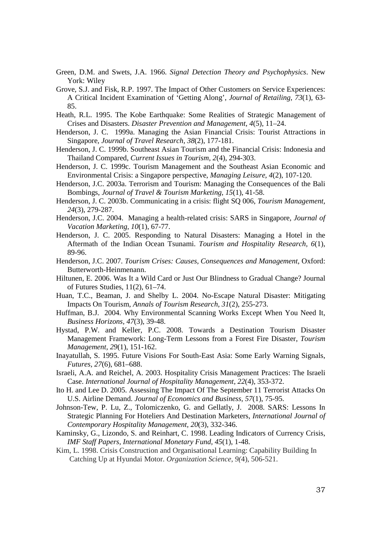- Green, D.M. and Swets, J.A. 1966. *Signal Detection Theory and Psychophysics*. New York: Wiley
- Grove, S.J. and Fisk, R.P. 1997. The Impact of Other Customers on Service Experiences: A Critical Incident Examination of 'Getting Along', *Journal of Retailing, 73*(1), 63- 85.
- Heath, R.L. 1995. The Kobe Earthquake: Some Realities of Strategic Management of Crises and Disasters. *Disaster Prevention and Management, 4*(5), 11–24.
- Henderson, J. C. 1999a. Managing the Asian Financial Crisis: Tourist Attractions in Singapore, *Journal of Travel Research, 38*(2), 177-181.
- Henderson, J. C. 1999b. Southeast Asian Tourism and the Financial Crisis: Indonesia and Thailand Compared, *Current Issues in Tourism, 2*(4), 294-303.
- Henderson, J. C. 1999c. Tourism Management and the Southeast Asian Economic and Environmental Crisis: a Singapore perspective, *Managing Leisure, 4*(2), 107-120.
- Henderson, J.C. 2003a. Terrorism and Tourism: Managing the Consequences of the Bali Bombings, *Journal of Travel & Tourism Marketing, 15*(1), 41-58.
- Henderson, J. C. 2003b. Communicating in a crisis: flight SQ 006, *Tourism Management, 24*(3), 279-287.
- Henderson, J.C. 2004. Managing a health-related crisis: SARS in Singapore, *Journal of Vacation Marketing, 10*(1), 67-77.
- Henderson, J. C. 2005. Responding to Natural Disasters: Managing a Hotel in the Aftermath of the Indian Ocean Tsunami. *Tourism and Hospitality Research, 6*(1), 89-96.
- Henderson, J.C. 2007. *Tourism Crises: Causes, Consequences and Management*, Oxford: Butterworth-Heinmenann.
- Hiltunen, E. 2006. Was It a Wild Card or Just Our Blindness to Gradual Change? Journal of Futures Studies, 11(2), 61–74.
- Huan, T.C., Beaman, J. and Shelby L. 2004. No-Escape Natural Disaster: Mitigating Impacts On Tourism, *Annals of Tourism Research, 31*(2), 255-273.
- Huffman, B.J. 2004. Why Environmental Scanning Works Except When You Need It, *Business Horizons, 47*(3), 39-48.
- Hystad, P.W. and Keller, P.C. 2008. Towards a Destination Tourism Disaster Management Framework: Long-Term Lessons from a Forest Fire Disaster, *Tourism Management, 29*(1), 151-162.
- Inayatullah, S. 1995. Future Visions For South-East Asia: Some Early Warning Signals, *Futures, 27*(6), 681–688.
- Israeli, A.A. and Reichel, A. 2003. Hospitality Crisis Management Practices: The Israeli Case. *International Journal of Hospitality Management, 22*(4), 353-372.
- Ito H. and Lee D. 2005. Assessing The Impact Of The September 11 Terrorist Attacks On U.S. Airline Demand. *Journal of Economics and Business, 57*(1), 75-95.
- Johnson-Tew, P. Lu, Z., Tolomiczenko, G. and Gellatly, J. 2008. SARS: Lessons In Strategic Planning For Hoteliers And Destination Marketers, *International Journal of Contemporary Hospitality Management, 20*(3), 332-346.
- Kaminsky, G., Lizondo, S. and Reinhart, C. 1998. Leading Indicators of Currency Crisis, *IMF Staff Papers, International Monetary Fund, 45*(1), 1-48.
- Kim, L. 1998. Crisis Construction and Organisational Learning: Capability Building In Catching Up at Hyundai Motor. *Organization Science*, *9(*4), 506-521.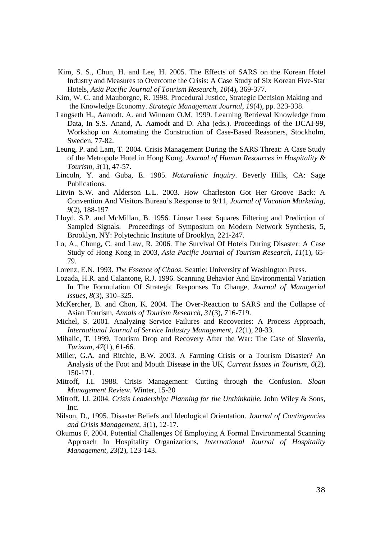- Kim, S. S., Chun, H. and Lee, H. 2005. The Effects of SARS on the Korean Hotel Industry and Measures to Overcome the Crisis: A Case Study of Six Korean Five-Star Hotels, *Asia Pacific Journal of Tourism Research, 10*(4), 369-377.
- Kim, W. C. and Mauborgne, R. 1998. Procedural Justice, Strategic Decision Making and the Knowledge Economy. *Strategic Management Journal*, *19*(4), pp. 323-338.
- Langseth H., Aamodt. A. and Winnem O.M. 1999. Learning Retrieval Knowledge from Data, In S.S. Anand, A. Aamodt and D. Aha (eds.). Proceedings of the IJCAI-99, Workshop on Automating the Construction of Case-Based Reasoners, Stockholm, Sweden, 77-82.
- Leung, P. and Lam, T. 2004. Crisis Management During the SARS Threat: A Case Study of the Metropole Hotel in Hong Kong, *Journal of Human Resources in Hospitality & Tourism, 3*(1), 47-57.
- Lincoln, Y. and Guba, E. 1985. *Naturalistic Inquiry*. Beverly Hills, CA: Sage Publications.
- Litvin S.W. and Alderson L.L. 2003. How Charleston Got Her Groove Back: A Convention And Visitors Bureau's Response to 9/11, *Journal of Vacation Marketing, 9*(2), 188-197
- Lloyd, S.P. and McMillan, B. 1956. Linear Least Squares Filtering and Prediction of Sampled Signals. Proceedings of Symposium on Modern Network Synthesis, 5, Brooklyn, NY: Polytechnic Institute of Brooklyn, 221-247.
- Lo, A., Chung, C. and Law, R. 2006. The Survival Of Hotels During Disaster: A Case Study of Hong Kong in 2003, *Asia Pacific Journal of Tourism Research, 11*(1), 65- 79.
- Lorenz, E.N. 1993. *The Essence of Chaos*. Seattle: University of Washington Press.
- Lozada, H.R. and Calantone, R.J. 1996. Scanning Behavior And Environmental Variation In The Formulation Of Strategic Responses To Change, *Journal of Managerial Issues, 8*(3), 310–325.
- McKercher, B. and Chon, K. 2004. The Over-Reaction to SARS and the Collapse of Asian Tourism, *Annals of Tourism Research, 31*(3), 716-719.
- Michel, S. 2001. Analyzing Service Failures and Recoveries: A Process Approach, *International Journal of Service Industry Management, 12*(1), 20-33.
- Mihalic, T. 1999. Tourism Drop and Recovery After the War: The Case of Slovenia, *Turizam, 47*(1), 61-66.
- Miller, G.A. and Ritchie, B.W. 2003. A Farming Crisis or a Tourism Disaster? An Analysis of the Foot and Mouth Disease in the UK, *Current Issues in Tourism, 6*(2), 150-171.
- Mitroff, I.I. 1988. Crisis Management: Cutting through the Confusion. *Sloan Management Review*. Winter, 15-20
- Mitroff, I.I. 2004. *Crisis Leadership: Planning for the Unthinkable*. John Wiley & Sons, Inc.
- Nilson, D., 1995. Disaster Beliefs and Ideological Orientation. *Journal of Contingencies and Crisis Management, 3*(1), 12-17.
- Okumus F. 2004. Potential Challenges Of Employing A Formal Environmental Scanning Approach In Hospitality Organizations, *International Journal of Hospitality Management, 23*(2), 123-143.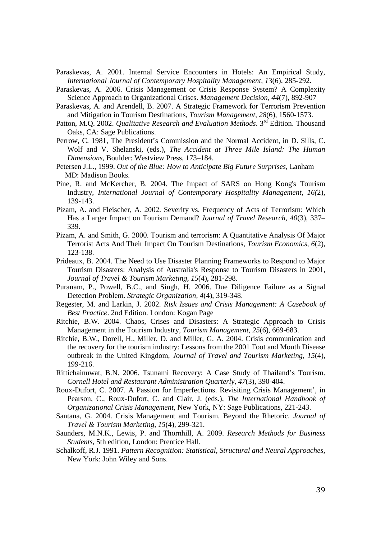- Paraskevas, A. 2001. Internal Service Encounters in Hotels: An Empirical Study, *International Journal of Contemporary Hospitality Management, 1*3(6), 285-292.
- Paraskevas, A. 2006. Crisis Management or Crisis Response System? A Complexity Science Approach to Organizational Crises. *Management Decision, 44*(7), 892-907
- Paraskevas, A. and Arendell, B. 2007. A Strategic Framework for Terrorism Prevention and Mitigation in Tourism Destinations, *Tourism Management, 28*(6), 1560-1573.
- Patton, M.Q. 2002. *Qualitative Research and Evaluation Methods*. 3<sup>rd</sup> Edition. Thousand Oaks, CA: Sage Publications.
- Perrow, C. 1981, The President's Commission and the Normal Accident, in D. Sills, C. Wolf and V. Shelanski, (eds.), *The Accident at Three Mile Island: The Human Dimensions*, Boulder: Westview Press, 173–184.
- Petersen J.L., 1999. *Out of the Blue: How to Anticipate Big Future Surprises*, Lanham MD: Madison Books.
- Pine, R. and McKercher, B. 2004. The Impact of SARS on Hong Kong's Tourism Industry, *International Journal of Contemporary Hospitality Management, 16(*2), 139-143.
- Pizam, A. and Fleischer, A. 2002. Severity vs. Frequency of Acts of Terrorism: Which Has a Larger Impact on Tourism Demand? *Journal of Travel Research, 40*(3), 337– 339.
- Pizam, A. and Smith, G. 2000. Tourism and terrorism: A Quantitative Analysis Of Major Terrorist Acts And Their Impact On Tourism Destinations, *Tourism Economics, 6*(2), 123-138.
- Prideaux, B. 2004. The Need to Use Disaster Planning Frameworks to Respond to Major Tourism Disasters: Analysis of Australia's Response to Tourism Disasters in 2001, *Journal of Travel & Tourism Marketing, 15*(4), 281-298.
- Puranam, P., Powell, B.C., and Singh, H. 2006. Due Diligence Failure as a Signal Detection Problem. *Strategic Organization, 4*(4), 319-348.
- Regester, M. and Larkin, J. 2002. *Risk Issues and Crisis Management: A Casebook of Best Practice*. 2nd Edition. London: Kogan Page
- Ritchie, B.W. 2004. Chaos, Crises and Disasters: A Strategic Approach to Crisis Management in the Tourism Industry, *Tourism Management, 25*(6), 669-683.
- Ritchie, B.W., Dorell, H., Miller, D. and Miller, G. A. 2004. Crisis communication and the recovery for the tourism industry: Lessons from the 2001 Foot and Mouth Disease outbreak in the United Kingdom, *Journal of Travel and Tourism Marketing, 15*(4), 199-216.
- Rittichainuwat, B.N. 2006. Tsunami Recovery: A Case Study of Thailand's Tourism. *Cornell Hotel and Restaurant Administration Quarterly, 47*(3), 390-404.
- Roux-Dufort, C. 2007. A Passion for Imperfections. Revisiting Crisis Management', in Pearson, C., Roux-Dufort, C. and Clair, J. (eds.), *The International Handbook of Organizational Crisis Management*, New York, NY: Sage Publications, 221-243.
- Santana, G. 2004. Crisis Management and Tourism. Beyond the Rhetoric. *Journal of Travel & Tourism Marketing, 15*(4), 299-321.
- Saunders, M.N.K., Lewis, P. and Thornhill, A. 2009. *Research Methods for Business Students*, 5th edition, London: Prentice Hall.
- Schalkoff, R.J. 1991. *Pattern Recognition: Statistical, Structural and Neural Approaches,* New York: John Wiley and Sons.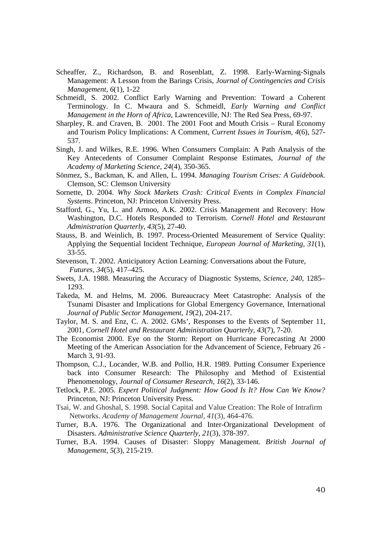- Scheaffer, Z., Richardson, B. and Rosenblatt, Z. 1998. Early-Warning-Signals Management: A Lesson from the Barings Crisis, *Journal of Contingencies and Crisis Management, 6*(1), 1-22
- Schmeidl, S. 2002. Conflict Early Warning and Prevention: Toward a Coherent Terminology. In C. Mwaura and S. Schmeidl, *Early Warning and Conflict Management in the Horn of Africa*, Lawrenceville, NJ: The Red Sea Press, 69-97.
- Sharpley, R. and Craven, B. 2001. The 2001 Foot and Mouth Crisis Rural Economy and Tourism Policy Implications: A Comment, *Current Issues in Tourism, 4*(6), 527- 537.
- Singh, J. and Wilkes, R.E. 1996. When Consumers Complain: A Path Analysis of the Key Antecedents of Consumer Complaint Response Estimates, *Journal of the Academy of Marketing Science, 24*(4), 350-365.
- Sönmez, S., Backman, K. and Allen, L. 1994. *Managing Tourism Crises: A Guidebook.* Clemson, SC: Clemson University
- Sornette, D. 2004. *Why Stock Markets Crash: Critical Events in Complex Financial Systems*. Princeton, NJ: Princeton University Press.
- Stafford, G., Yu, L. and Armoo, A.K. 2002. Crisis Management and Recovery: How Washington, D.C. Hotels Responded to Terrorism. *Cornell Hotel and Restaurant Administration Quarterly, 43*(5), 27-40.
- Stauss, B. and Weinlich, B. 1997. Process-Oriented Measurement of Service Quality: Applying the Sequential Incident Technique, *European Journal of Marketing, 31*(1), 33-55.
- Stevenson, T. 2002. Anticipatory Action Learning: Conversations about the Future, *Futures, 34*(5), 417–425.
- Swets, J.A. 1988. Measuring the Accuracy of Diagnostic Systems, *Science, 240*, 1285– 1293.
- Takeda, M. and Helms, M. 2006. Bureaucracy Meet Catastrophe: Analysis of the Tsunami Disaster and Implications for Global Emergency Governance, International *Journal of Public Sector Management, 19*(2), 204-217.
- Taylor, M. S. and Enz, C. A. 2002. GMs', Responses to the Events of September 11, 2001, *Cornell Hotel and Restaurant Administration Quarterly, 43*(7), 7-20.
- The Economist 2000. Eye on the Storm: Report on Hurricane Forecasting At 2000 Meeting of the American Association for the Advancement of Science, February 26 - March 3, 91-93.
- Thompson, C.J., Locander, W.B. and Pollio, H.R. 1989. Putting Consumer Experience back into Consumer Research: The Philosophy and Method of Existential Phenomenology, *Journal of Consumer Research, 16*(2), 33-146.
- Tetlock, P.E. 2005. *Expert Political Judgment: How Good Is It? How Can We Know?* Princeton, NJ: Princeton University Press.
- Tsai, W. and Ghoshal, S. 1998. Social Capital and Value Creation: The Role of Intrafirm Networks. *Academy of Management Journal*, *41*(3), 464-476.
- Turner, B.A. 1976. The Organizational and Inter-Organizational Development of Disasters. *Administrative Science Quarterly, 21*(3), 378-397.
- Turner, B.A. 1994. Causes of Disaster: Sloppy Management. *British Journal of Management, 5*(3), 215-219.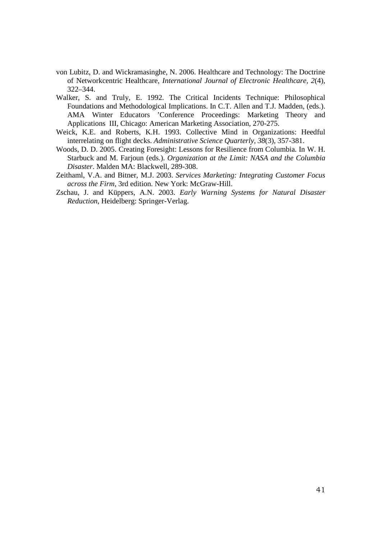- von Lubitz, D. and Wickramasinghe, N. 2006. Healthcare and Technology: The Doctrine of Networkcentric Healthcare, *International Journal of Electronic Healthcare, 2*(4), 322–344.
- Walker, S. and Truly, E. 1992. The Critical Incidents Technique: Philosophical Foundations and Methodological Implications. In C.T. Allen and T.J. Madden, (eds.). AMA Winter Educators 'Conference Proceedings: Marketing Theory and Applications III, Chicago: American Marketing Association, 270-275.
- Weick, K.E. and Roberts, K.H. 1993. Collective Mind in Organizations: Heedful interrelating on flight decks. *Administrative Science Quarterly, 38*(3), 357-381.
- Woods, D. D. 2005. Creating Foresight: Lessons for Resilience from Columbia. In W. H. Starbuck and M. Farjoun (eds.). *Organization at the Limit: NASA and the Columbia Disaster*. Malden MA: Blackwell, 289-308.
- Zeithaml, V.A. and Bitner, M.J. 2003. *Services Marketing: Integrating Customer Focus across the Firm*, 3rd edition. New York: McGraw-Hill.
- Zschau, J. and Küppers, A.N. 2003. *Early Warning Systems for Natural Disaster Reduction*, Heidelberg: Springer-Verlag.